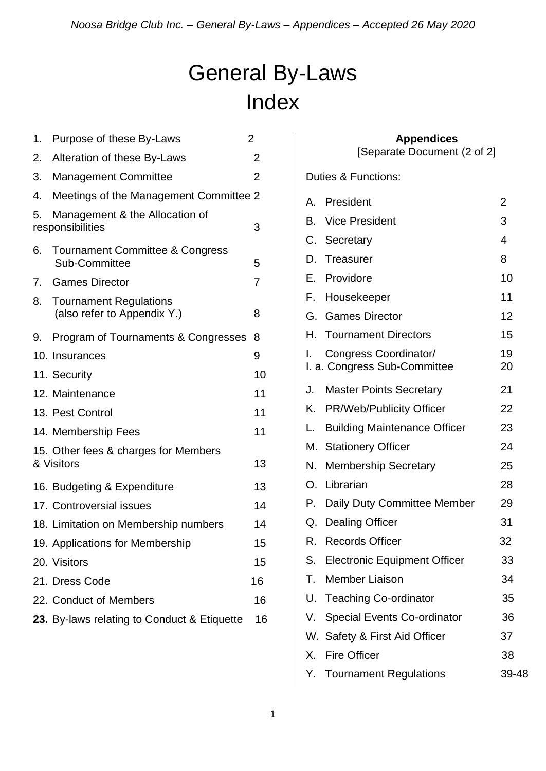# General By-Laws Index

| 1.                                   | Purpose of these By-Laws                                    | $\overline{2}$ |    |                       |
|--------------------------------------|-------------------------------------------------------------|----------------|----|-----------------------|
| 2.                                   | Alteration of these By-Laws                                 | $\overline{2}$ |    | [Separa               |
| 3.                                   | <b>Management Committee</b>                                 | $\overline{2}$ |    | Duties & Functions    |
| 4.                                   | Meetings of the Management Committee 2                      |                | A. | President             |
| 5.                                   | Management & the Allocation of                              |                | В. | Vice President        |
|                                      | responsibilities                                            | 3              |    | C. Secretary          |
| 6.                                   | <b>Tournament Committee &amp; Congress</b><br>Sub-Committee | 5              | D. | Treasurer             |
| 7.                                   | <b>Games Director</b>                                       | $\overline{7}$ | Е. | Providore             |
| 8.                                   | <b>Tournament Regulations</b>                               |                | F. | Housekeeper           |
|                                      | (also refer to Appendix Y.)                                 | 8              |    | G. Games Directo      |
| 9.                                   | Program of Tournaments & Congresses                         | 8              | Н. | <b>Tournament D</b>   |
|                                      | 10. Insurances                                              | 9              |    | Congress Coo          |
|                                      | 11. Security                                                | 10             |    | I. a. Congress Sub    |
|                                      | 12. Maintenance                                             | 11             | J. | <b>Master Points</b>  |
|                                      | 13. Pest Control                                            | 11             | Κ. | PR/Web/Publi          |
|                                      | 14. Membership Fees                                         | 11             | L. | <b>Building Maint</b> |
| 15. Other fees & charges for Members |                                                             |                |    | M. Stationery Offi    |
|                                      | & Visitors                                                  |                | N. | Membership S          |
|                                      | 16. Budgeting & Expenditure                                 | 13             |    | O. Librarian          |
|                                      | 17. Controversial issues                                    | 14             | P. | Daily Duty Cor        |
|                                      | 18. Limitation on Membership numbers                        | 14             | Q. | <b>Dealing Office</b> |
|                                      | 19. Applications for Membership                             | 15             | R. | <b>Records Office</b> |
|                                      | 20. Visitors                                                | 15             | S. | Electronic Equ        |
|                                      | 21. Dress Code                                              | 16             | Т. | <b>Member Liaiso</b>  |
|                                      | 22. Conduct of Members                                      | 16             |    | U. Teaching Co-d      |
|                                      | 23. By-laws relating to Conduct & Etiquette                 | 16             |    | V. Special Events     |
|                                      |                                                             |                |    |                       |

# **Appendices**

[Separate Document (2 of 2]

Duties & Functions:

| Α. | President                                             | 2        |
|----|-------------------------------------------------------|----------|
| В. | <b>Vice President</b>                                 | 3        |
|    | C. Secretary                                          | 4        |
| D. | Treasurer                                             | 8        |
|    | E. Providore                                          | 10       |
| F. | Housekeeper                                           | 11       |
|    | G. Games Director                                     | 12       |
|    | H. Tournament Directors                               | 15       |
| L. | Congress Coordinator/<br>I. a. Congress Sub-Committee | 19<br>20 |
| J. | <b>Master Points Secretary</b>                        | 21       |
| Κ. | <b>PR/Web/Publicity Officer</b>                       | 22       |
| L. | <b>Building Maintenance Officer</b>                   | 23       |
|    | M. Stationery Officer                                 | 24       |
| N. | <b>Membership Secretary</b>                           | 25       |
| О. | Librarian                                             | 28       |
|    | P. Daily Duty Committee Member                        | 29       |
| Q. | <b>Dealing Officer</b>                                | 31       |
|    | R. Records Officer                                    | 32       |
| S. | <b>Electronic Equipment Officer</b>                   | 33       |
| Т. | <b>Member Liaison</b>                                 | 34       |
| U. | <b>Teaching Co-ordinator</b>                          | 35       |
| V. | <b>Special Events Co-ordinator</b>                    | 36       |
|    | W. Safety & First Aid Officer                         | 37       |
| Х. | <b>Fire Officer</b>                                   | 38       |
|    | Y. Tournament Regulations                             | 39-48    |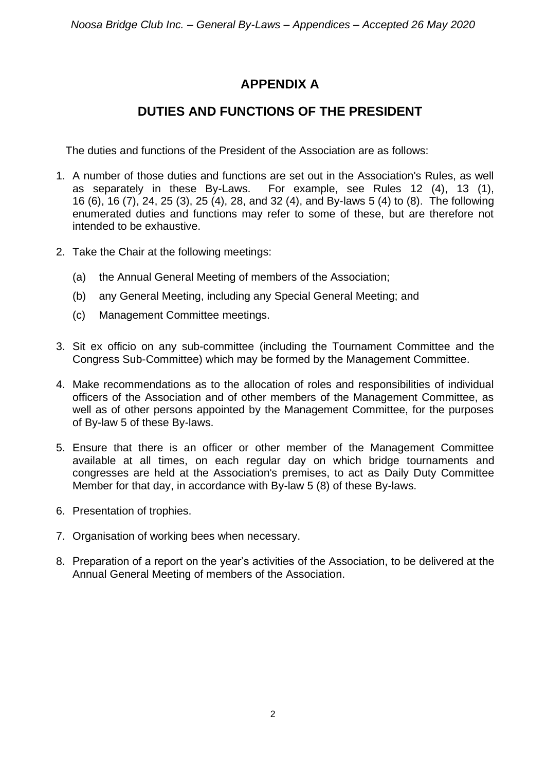# **APPENDIX A**

# **DUTIES AND FUNCTIONS OF THE PRESIDENT**

The duties and functions of the President of the Association are as follows:

- 1. A number of those duties and functions are set out in the Association's Rules, as well as separately in these By-Laws. For example, see Rules 12 (4), 13 (1), 16 (6), 16 (7), 24, 25 (3), 25 (4), 28, and 32 (4), and By-laws 5 (4) to (8). The following enumerated duties and functions may refer to some of these, but are therefore not intended to be exhaustive.
- 2. Take the Chair at the following meetings:
	- (a) the Annual General Meeting of members of the Association;
	- (b) any General Meeting, including any Special General Meeting; and
	- (c) Management Committee meetings.
- 3. Sit ex officio on any sub-committee (including the Tournament Committee and the Congress Sub-Committee) which may be formed by the Management Committee.
- 4. Make recommendations as to the allocation of roles and responsibilities of individual officers of the Association and of other members of the Management Committee, as well as of other persons appointed by the Management Committee, for the purposes of By-law 5 of these By-laws.
- 5. Ensure that there is an officer or other member of the Management Committee available at all times, on each regular day on which bridge tournaments and congresses are held at the Association's premises, to act as Daily Duty Committee Member for that day, in accordance with By-law 5 (8) of these By-laws.
- 6. Presentation of trophies.
- 7. Organisation of working bees when necessary.
- 8. Preparation of a report on the year's activities of the Association, to be delivered at the Annual General Meeting of members of the Association.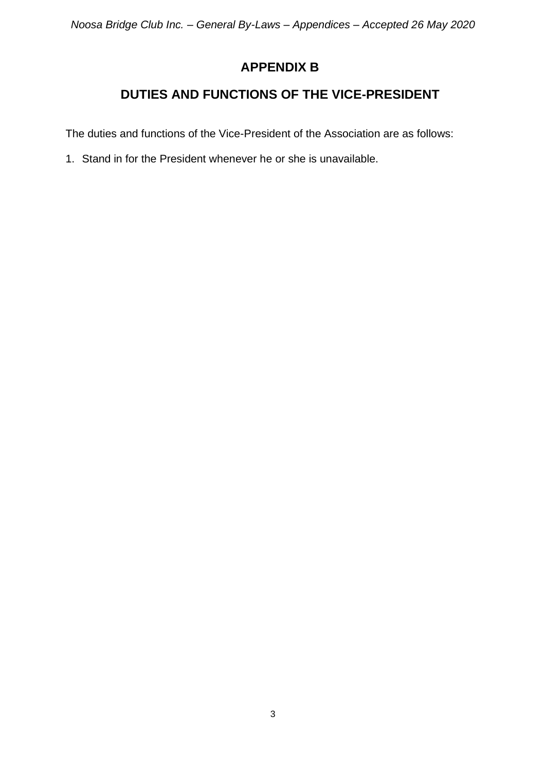# **APPENDIX B**

# **DUTIES AND FUNCTIONS OF THE VICE-PRESIDENT**

The duties and functions of the Vice-President of the Association are as follows:

1. Stand in for the President whenever he or she is unavailable.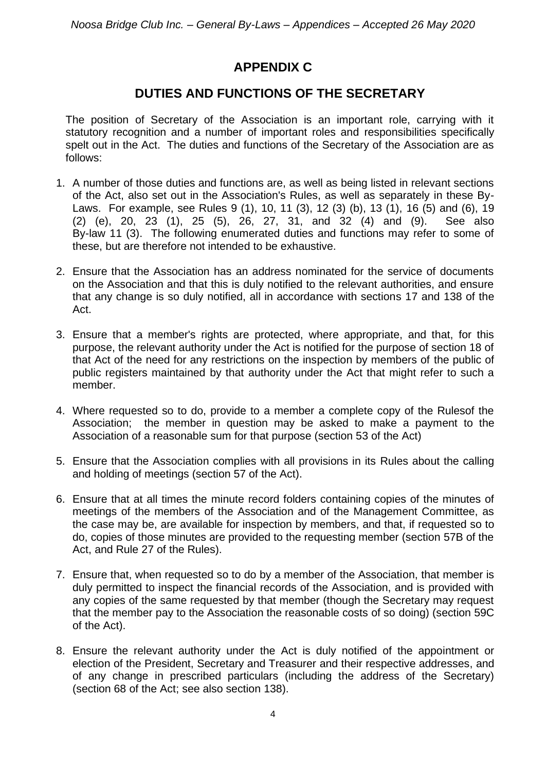# **APPENDIX C**

### **DUTIES AND FUNCTIONS OF THE SECRETARY**

The position of Secretary of the Association is an important role, carrying with it statutory recognition and a number of important roles and responsibilities specifically spelt out in the Act. The duties and functions of the Secretary of the Association are as follows:

- 1. A number of those duties and functions are, as well as being listed in relevant sections of the Act, also set out in the Association's Rules, as well as separately in these By-Laws. For example, see Rules 9 (1), 10, 11 (3), 12 (3) (b), 13 (1), 16 (5) and (6), 19 (2) (e), 20, 23 (1), 25 (5), 26, 27, 31, and 32 (4) and (9). See also By-law 11 (3). The following enumerated duties and functions may refer to some of these, but are therefore not intended to be exhaustive.
- 2. Ensure that the Association has an address nominated for the service of documents on the Association and that this is duly notified to the relevant authorities, and ensure that any change is so duly notified, all in accordance with sections 17 and 138 of the Act.
- 3. Ensure that a member's rights are protected, where appropriate, and that, for this purpose, the relevant authority under the Act is notified for the purpose of section 18 of that Act of the need for any restrictions on the inspection by members of the public of public registers maintained by that authority under the Act that might refer to such a member.
- 4. Where requested so to do, provide to a member a complete copy of the Rulesof the Association; the member in question may be asked to make a payment to the Association of a reasonable sum for that purpose (section 53 of the Act)
- 5. Ensure that the Association complies with all provisions in its Rules about the calling and holding of meetings (section 57 of the Act).
- 6. Ensure that at all times the minute record folders containing copies of the minutes of meetings of the members of the Association and of the Management Committee, as the case may be, are available for inspection by members, and that, if requested so to do, copies of those minutes are provided to the requesting member (section 57B of the Act, and Rule 27 of the Rules).
- 7. Ensure that, when requested so to do by a member of the Association, that member is duly permitted to inspect the financial records of the Association, and is provided with any copies of the same requested by that member (though the Secretary may request that the member pay to the Association the reasonable costs of so doing) (section 59C of the Act).
- 8. Ensure the relevant authority under the Act is duly notified of the appointment or election of the President, Secretary and Treasurer and their respective addresses, and of any change in prescribed particulars (including the address of the Secretary) (section 68 of the Act; see also section 138).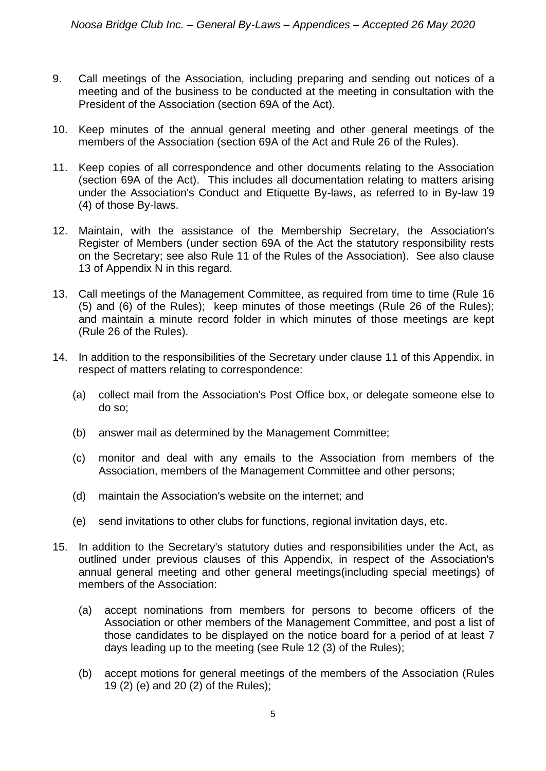- 9. Call meetings of the Association, including preparing and sending out notices of a meeting and of the business to be conducted at the meeting in consultation with the President of the Association (section 69A of the Act).
- 10. Keep minutes of the annual general meeting and other general meetings of the members of the Association (section 69A of the Act and Rule 26 of the Rules).
- 11. Keep copies of all correspondence and other documents relating to the Association (section 69A of the Act). This includes all documentation relating to matters arising under the Association's Conduct and Etiquette By-laws, as referred to in By-law 19 (4) of those By-laws.
- 12. Maintain, with the assistance of the Membership Secretary, the Association's Register of Members (under section 69A of the Act the statutory responsibility rests on the Secretary; see also Rule 11 of the Rules of the Association). See also clause 13 of Appendix N in this regard.
- 13. Call meetings of the Management Committee, as required from time to time (Rule 16 (5) and (6) of the Rules); keep minutes of those meetings (Rule 26 of the Rules); and maintain a minute record folder in which minutes of those meetings are kept (Rule 26 of the Rules).
- 14. In addition to the responsibilities of the Secretary under clause 11 of this Appendix, in respect of matters relating to correspondence:
	- (a) collect mail from the Association's Post Office box, or delegate someone else to do so;
	- (b) answer mail as determined by the Management Committee;
	- (c) monitor and deal with any emails to the Association from members of the Association, members of the Management Committee and other persons;
	- (d) maintain the Association's website on the internet; and
	- (e) send invitations to other clubs for functions, regional invitation days, etc.
- 15. In addition to the Secretary's statutory duties and responsibilities under the Act, as outlined under previous clauses of this Appendix, in respect of the Association's annual general meeting and other general meetings(including special meetings) of members of the Association:
	- (a) accept nominations from members for persons to become officers of the Association or other members of the Management Committee, and post a list of those candidates to be displayed on the notice board for a period of at least 7 days leading up to the meeting (see Rule 12 (3) of the Rules);
	- (b) accept motions for general meetings of the members of the Association (Rules 19 (2) (e) and 20 (2) of the Rules);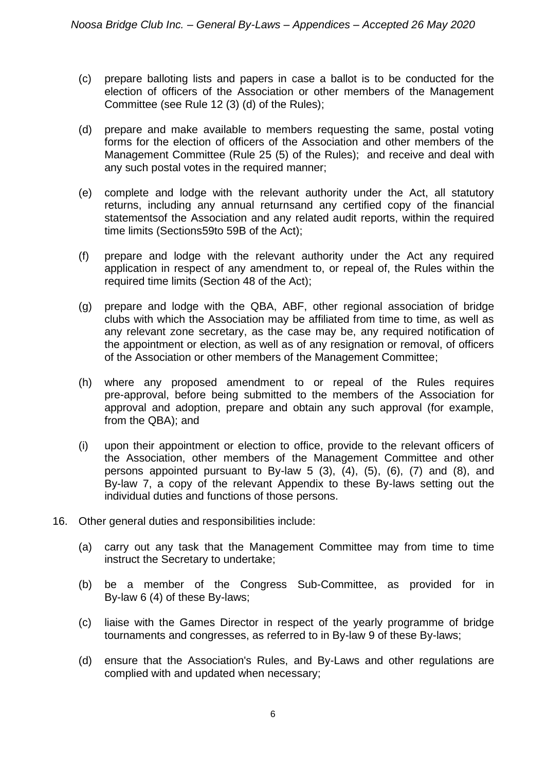- (c) prepare balloting lists and papers in case a ballot is to be conducted for the election of officers of the Association or other members of the Management Committee (see Rule 12 (3) (d) of the Rules);
- (d) prepare and make available to members requesting the same, postal voting forms for the election of officers of the Association and other members of the Management Committee (Rule 25 (5) of the Rules); and receive and deal with any such postal votes in the required manner;
- (e) complete and lodge with the relevant authority under the Act, all statutory returns, including any annual returnsand any certified copy of the financial statementsof the Association and any related audit reports, within the required time limits (Sections59to 59B of the Act);
- (f) prepare and lodge with the relevant authority under the Act any required application in respect of any amendment to, or repeal of, the Rules within the required time limits (Section 48 of the Act);
- (g) prepare and lodge with the QBA, ABF, other regional association of bridge clubs with which the Association may be affiliated from time to time, as well as any relevant zone secretary, as the case may be, any required notification of the appointment or election, as well as of any resignation or removal, of officers of the Association or other members of the Management Committee;
- (h) where any proposed amendment to or repeal of the Rules requires pre-approval, before being submitted to the members of the Association for approval and adoption, prepare and obtain any such approval (for example, from the QBA); and
- (i) upon their appointment or election to office, provide to the relevant officers of the Association, other members of the Management Committee and other persons appointed pursuant to By-law 5 (3), (4), (5), (6), (7) and (8), and By-law 7, a copy of the relevant Appendix to these By-laws setting out the individual duties and functions of those persons.
- 16. Other general duties and responsibilities include:
	- (a) carry out any task that the Management Committee may from time to time instruct the Secretary to undertake;
	- (b) be a member of the Congress Sub-Committee, as provided for in By-law 6 (4) of these By-laws;
	- (c) liaise with the Games Director in respect of the yearly programme of bridge tournaments and congresses, as referred to in By-law 9 of these By-laws;
	- (d) ensure that the Association's Rules, and By-Laws and other regulations are complied with and updated when necessary;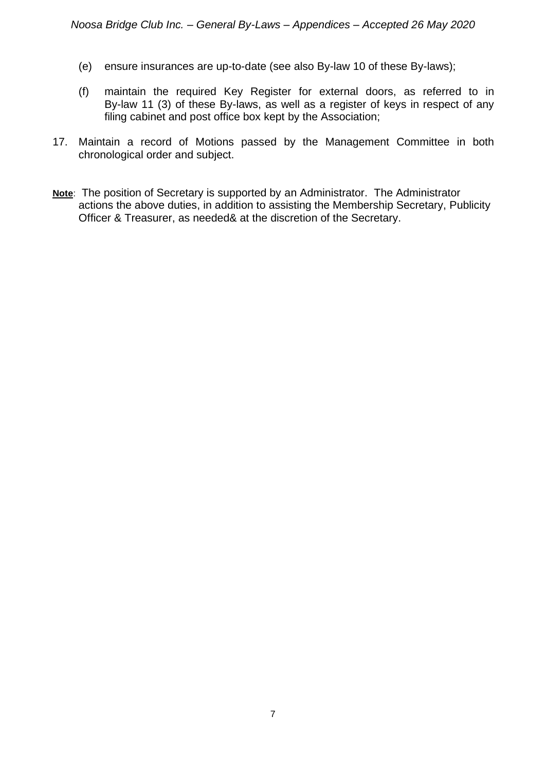- (e) ensure insurances are up-to-date (see also By-law 10 of these By-laws);
- (f) maintain the required Key Register for external doors, as referred to in By-law 11 (3) of these By-laws, as well as a register of keys in respect of any filing cabinet and post office box kept by the Association;
- 17. Maintain a record of Motions passed by the Management Committee in both chronological order and subject.
- **Note**: The position of Secretary is supported by an Administrator. The Administrator actions the above duties, in addition to assisting the Membership Secretary, Publicity Officer & Treasurer, as needed& at the discretion of the Secretary.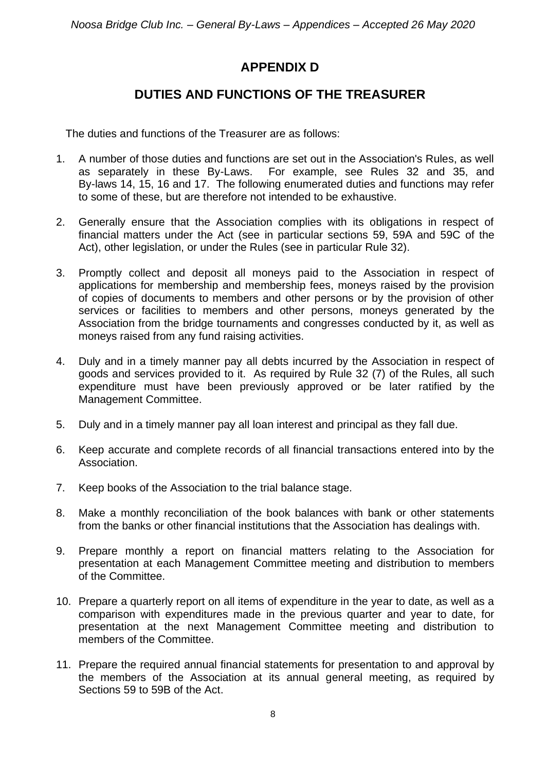# **APPENDIX D**

### **DUTIES AND FUNCTIONS OF THE TREASURER**

The duties and functions of the Treasurer are as follows:

- 1. A number of those duties and functions are set out in the Association's Rules, as well as separately in these By-Laws. For example, see Rules 32 and 35, and By-laws 14, 15, 16 and 17. The following enumerated duties and functions may refer to some of these, but are therefore not intended to be exhaustive.
- 2. Generally ensure that the Association complies with its obligations in respect of financial matters under the Act (see in particular sections 59, 59A and 59C of the Act), other legislation, or under the Rules (see in particular Rule 32).
- 3. Promptly collect and deposit all moneys paid to the Association in respect of applications for membership and membership fees, moneys raised by the provision of copies of documents to members and other persons or by the provision of other services or facilities to members and other persons, moneys generated by the Association from the bridge tournaments and congresses conducted by it, as well as moneys raised from any fund raising activities.
- 4. Duly and in a timely manner pay all debts incurred by the Association in respect of goods and services provided to it. As required by Rule 32 (7) of the Rules, all such expenditure must have been previously approved or be later ratified by the Management Committee.
- 5. Duly and in a timely manner pay all loan interest and principal as they fall due.
- 6. Keep accurate and complete records of all financial transactions entered into by the Association.
- 7. Keep books of the Association to the trial balance stage.
- 8. Make a monthly reconciliation of the book balances with bank or other statements from the banks or other financial institutions that the Association has dealings with.
- 9. Prepare monthly a report on financial matters relating to the Association for presentation at each Management Committee meeting and distribution to members of the Committee.
- 10. Prepare a quarterly report on all items of expenditure in the year to date, as well as a comparison with expenditures made in the previous quarter and year to date, for presentation at the next Management Committee meeting and distribution to members of the Committee.
- 11. Prepare the required annual financial statements for presentation to and approval by the members of the Association at its annual general meeting, as required by Sections 59 to 59B of the Act.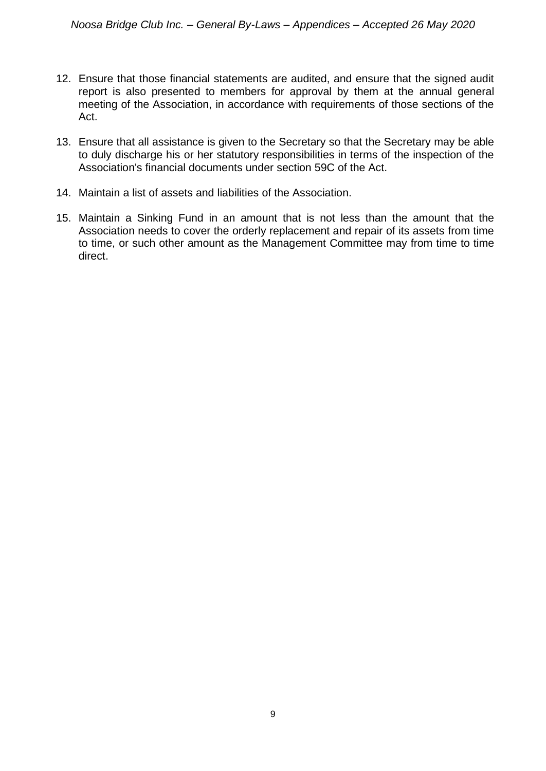- 12. Ensure that those financial statements are audited, and ensure that the signed audit report is also presented to members for approval by them at the annual general meeting of the Association, in accordance with requirements of those sections of the Act.
- 13. Ensure that all assistance is given to the Secretary so that the Secretary may be able to duly discharge his or her statutory responsibilities in terms of the inspection of the Association's financial documents under section 59C of the Act.
- 14. Maintain a list of assets and liabilities of the Association.
- 15. Maintain a Sinking Fund in an amount that is not less than the amount that the Association needs to cover the orderly replacement and repair of its assets from time to time, or such other amount as the Management Committee may from time to time direct.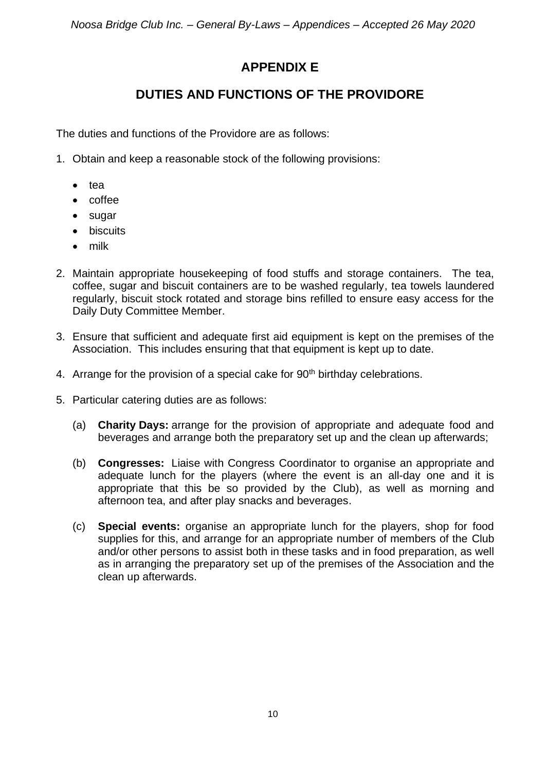# **APPENDIX E**

# **DUTIES AND FUNCTIONS OF THE PROVIDORE**

The duties and functions of the Providore are as follows:

- 1. Obtain and keep a reasonable stock of the following provisions:
	- tea
	- coffee
	- sugar
	- biscuits
	- milk
- 2. Maintain appropriate housekeeping of food stuffs and storage containers. The tea, coffee, sugar and biscuit containers are to be washed regularly, tea towels laundered regularly, biscuit stock rotated and storage bins refilled to ensure easy access for the Daily Duty Committee Member.
- 3. Ensure that sufficient and adequate first aid equipment is kept on the premises of the Association. This includes ensuring that that equipment is kept up to date.
- 4. Arrange for the provision of a special cake for 90<sup>th</sup> birthday celebrations.
- 5. Particular catering duties are as follows:
	- (a) **Charity Days:** arrange for the provision of appropriate and adequate food and beverages and arrange both the preparatory set up and the clean up afterwards;
	- (b) **Congresses:** Liaise with Congress Coordinator to organise an appropriate and adequate lunch for the players (where the event is an all-day one and it is appropriate that this be so provided by the Club), as well as morning and afternoon tea, and after play snacks and beverages.
	- (c) **Special events:** organise an appropriate lunch for the players, shop for food supplies for this, and arrange for an appropriate number of members of the Club and/or other persons to assist both in these tasks and in food preparation, as well as in arranging the preparatory set up of the premises of the Association and the clean up afterwards.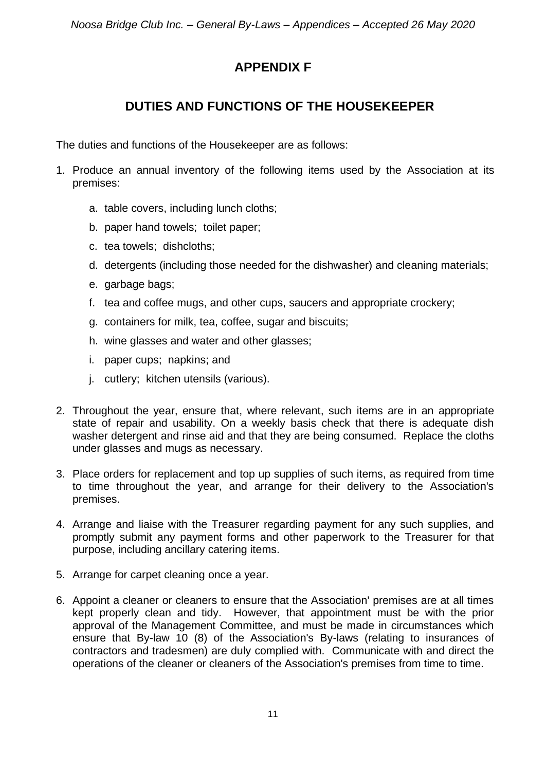# **APPENDIX F**

### **DUTIES AND FUNCTIONS OF THE HOUSEKEEPER**

The duties and functions of the Housekeeper are as follows:

- 1. Produce an annual inventory of the following items used by the Association at its premises:
	- a. table covers, including lunch cloths;
	- b. paper hand towels; toilet paper;
	- c. tea towels; dishcloths;
	- d. detergents (including those needed for the dishwasher) and cleaning materials;
	- e. garbage bags;
	- f. tea and coffee mugs, and other cups, saucers and appropriate crockery;
	- g. containers for milk, tea, coffee, sugar and biscuits;
	- h. wine glasses and water and other glasses;
	- i. paper cups; napkins; and
	- j. cutlery; kitchen utensils (various).
- 2. Throughout the year, ensure that, where relevant, such items are in an appropriate state of repair and usability. On a weekly basis check that there is adequate dish washer detergent and rinse aid and that they are being consumed. Replace the cloths under glasses and mugs as necessary.
- 3. Place orders for replacement and top up supplies of such items, as required from time to time throughout the year, and arrange for their delivery to the Association's premises.
- 4. Arrange and liaise with the Treasurer regarding payment for any such supplies, and promptly submit any payment forms and other paperwork to the Treasurer for that purpose, including ancillary catering items.
- 5. Arrange for carpet cleaning once a year.
- 6. Appoint a cleaner or cleaners to ensure that the Association' premises are at all times kept properly clean and tidy. However, that appointment must be with the prior approval of the Management Committee, and must be made in circumstances which ensure that By-law 10 (8) of the Association's By-laws (relating to insurances of contractors and tradesmen) are duly complied with. Communicate with and direct the operations of the cleaner or cleaners of the Association's premises from time to time.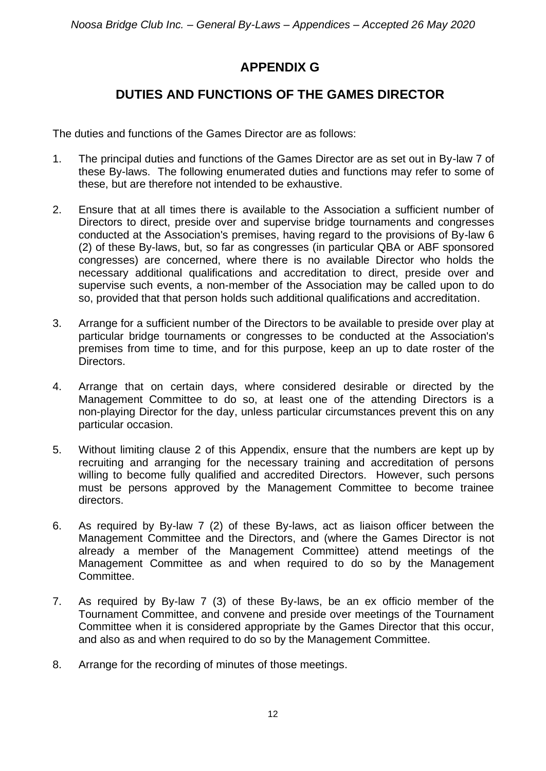# **APPENDIX G**

# **DUTIES AND FUNCTIONS OF THE GAMES DIRECTOR**

The duties and functions of the Games Director are as follows:

- 1. The principal duties and functions of the Games Director are as set out in By-law 7 of these By-laws. The following enumerated duties and functions may refer to some of these, but are therefore not intended to be exhaustive.
- 2. Ensure that at all times there is available to the Association a sufficient number of Directors to direct, preside over and supervise bridge tournaments and congresses conducted at the Association's premises, having regard to the provisions of By-law 6 (2) of these By-laws, but, so far as congresses (in particular QBA or ABF sponsored congresses) are concerned, where there is no available Director who holds the necessary additional qualifications and accreditation to direct, preside over and supervise such events, a non-member of the Association may be called upon to do so, provided that that person holds such additional qualifications and accreditation.
- 3. Arrange for a sufficient number of the Directors to be available to preside over play at particular bridge tournaments or congresses to be conducted at the Association's premises from time to time, and for this purpose, keep an up to date roster of the Directors.
- 4. Arrange that on certain days, where considered desirable or directed by the Management Committee to do so, at least one of the attending Directors is a non-playing Director for the day, unless particular circumstances prevent this on any particular occasion.
- 5. Without limiting clause 2 of this Appendix, ensure that the numbers are kept up by recruiting and arranging for the necessary training and accreditation of persons willing to become fully qualified and accredited Directors. However, such persons must be persons approved by the Management Committee to become trainee directors.
- 6. As required by By-law 7 (2) of these By-laws, act as liaison officer between the Management Committee and the Directors, and (where the Games Director is not already a member of the Management Committee) attend meetings of the Management Committee as and when required to do so by the Management Committee.
- 7. As required by By-law 7 (3) of these By-laws, be an ex officio member of the Tournament Committee, and convene and preside over meetings of the Tournament Committee when it is considered appropriate by the Games Director that this occur, and also as and when required to do so by the Management Committee.
- 8. Arrange for the recording of minutes of those meetings.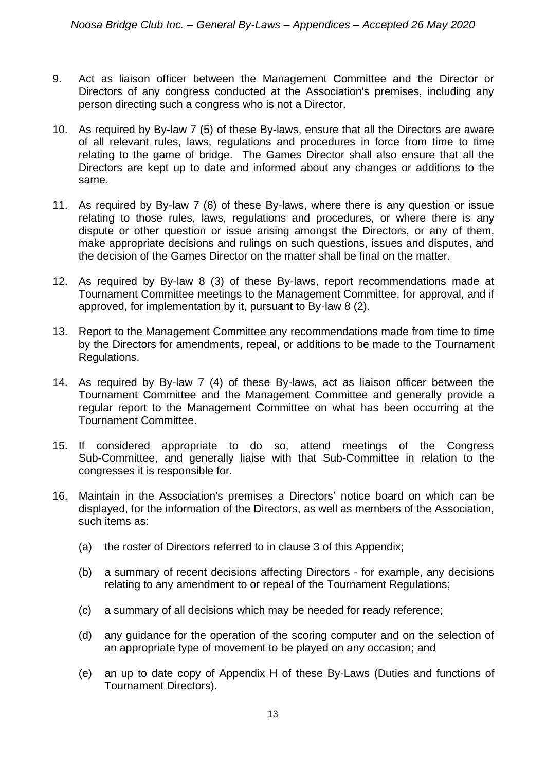- 9. Act as liaison officer between the Management Committee and the Director or Directors of any congress conducted at the Association's premises, including any person directing such a congress who is not a Director.
- 10. As required by By-law 7 (5) of these By-laws, ensure that all the Directors are aware of all relevant rules, laws, regulations and procedures in force from time to time relating to the game of bridge. The Games Director shall also ensure that all the Directors are kept up to date and informed about any changes or additions to the same.
- 11. As required by By-law 7 (6) of these By-laws, where there is any question or issue relating to those rules, laws, regulations and procedures, or where there is any dispute or other question or issue arising amongst the Directors, or any of them, make appropriate decisions and rulings on such questions, issues and disputes, and the decision of the Games Director on the matter shall be final on the matter.
- 12. As required by By-law 8 (3) of these By-laws, report recommendations made at Tournament Committee meetings to the Management Committee, for approval, and if approved, for implementation by it, pursuant to By-law 8 (2).
- 13. Report to the Management Committee any recommendations made from time to time by the Directors for amendments, repeal, or additions to be made to the Tournament Regulations.
- 14. As required by By-law 7 (4) of these By-laws, act as liaison officer between the Tournament Committee and the Management Committee and generally provide a regular report to the Management Committee on what has been occurring at the Tournament Committee.
- 15. If considered appropriate to do so, attend meetings of the Congress Sub-Committee, and generally liaise with that Sub-Committee in relation to the congresses it is responsible for.
- 16. Maintain in the Association's premises a Directors' notice board on which can be displayed, for the information of the Directors, as well as members of the Association, such items as:
	- (a) the roster of Directors referred to in clause 3 of this Appendix;
	- (b) a summary of recent decisions affecting Directors for example, any decisions relating to any amendment to or repeal of the Tournament Regulations;
	- (c) a summary of all decisions which may be needed for ready reference;
	- (d) any guidance for the operation of the scoring computer and on the selection of an appropriate type of movement to be played on any occasion; and
	- (e) an up to date copy of Appendix H of these By-Laws (Duties and functions of Tournament Directors).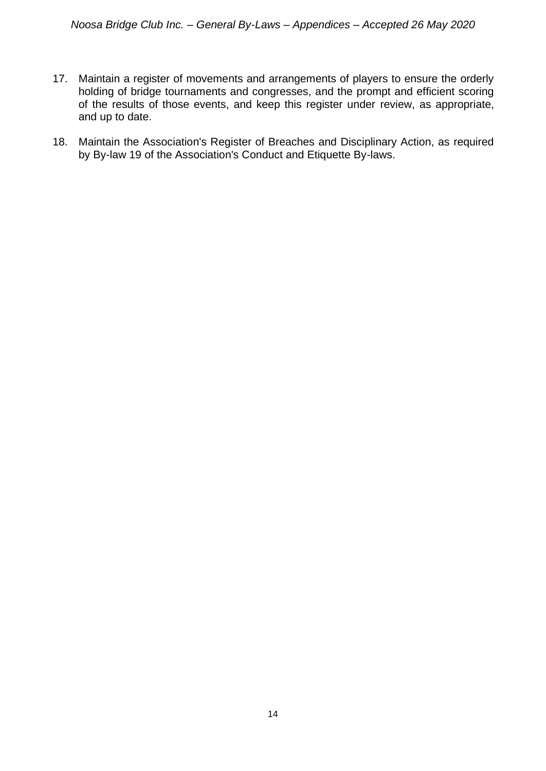- 17. Maintain a register of movements and arrangements of players to ensure the orderly holding of bridge tournaments and congresses, and the prompt and efficient scoring of the results of those events, and keep this register under review, as appropriate, and up to date.
- 18. Maintain the Association's Register of Breaches and Disciplinary Action, as required by By-law 19 of the Association's Conduct and Etiquette By-laws.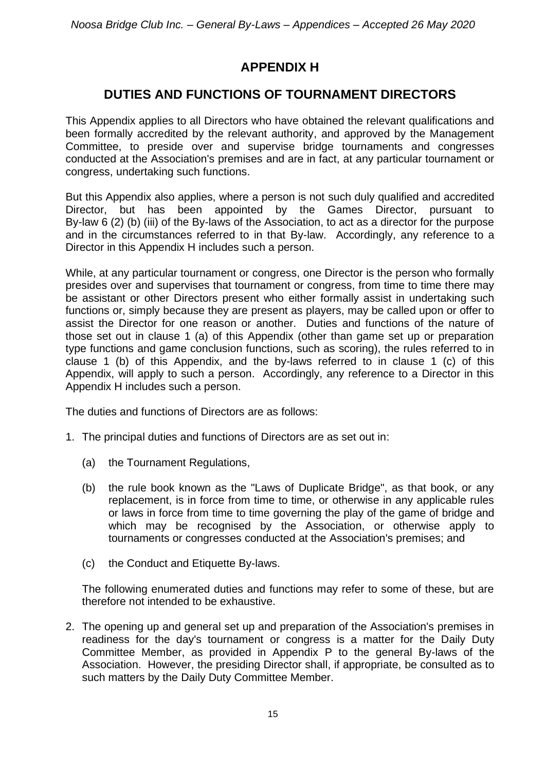# **APPENDIX H**

### **DUTIES AND FUNCTIONS OF TOURNAMENT DIRECTORS**

This Appendix applies to all Directors who have obtained the relevant qualifications and been formally accredited by the relevant authority, and approved by the Management Committee, to preside over and supervise bridge tournaments and congresses conducted at the Association's premises and are in fact, at any particular tournament or congress, undertaking such functions.

But this Appendix also applies, where a person is not such duly qualified and accredited Director, but has been appointed by the Games Director, pursuant to By-law 6 (2) (b) (iii) of the By-laws of the Association, to act as a director for the purpose and in the circumstances referred to in that By-law. Accordingly, any reference to a Director in this Appendix H includes such a person.

While, at any particular tournament or congress, one Director is the person who formally presides over and supervises that tournament or congress, from time to time there may be assistant or other Directors present who either formally assist in undertaking such functions or, simply because they are present as players, may be called upon or offer to assist the Director for one reason or another. Duties and functions of the nature of those set out in clause 1 (a) of this Appendix (other than game set up or preparation type functions and game conclusion functions, such as scoring), the rules referred to in clause 1 (b) of this Appendix, and the by-laws referred to in clause 1 (c) of this Appendix, will apply to such a person. Accordingly, any reference to a Director in this Appendix H includes such a person.

The duties and functions of Directors are as follows:

- 1. The principal duties and functions of Directors are as set out in:
	- (a) the Tournament Regulations,
	- (b) the rule book known as the "Laws of Duplicate Bridge", as that book, or any replacement, is in force from time to time, or otherwise in any applicable rules or laws in force from time to time governing the play of the game of bridge and which may be recognised by the Association, or otherwise apply to tournaments or congresses conducted at the Association's premises; and
	- (c) the Conduct and Etiquette By-laws.

The following enumerated duties and functions may refer to some of these, but are therefore not intended to be exhaustive.

2. The opening up and general set up and preparation of the Association's premises in readiness for the day's tournament or congress is a matter for the Daily Duty Committee Member, as provided in Appendix P to the general By-laws of the Association. However, the presiding Director shall, if appropriate, be consulted as to such matters by the Daily Duty Committee Member.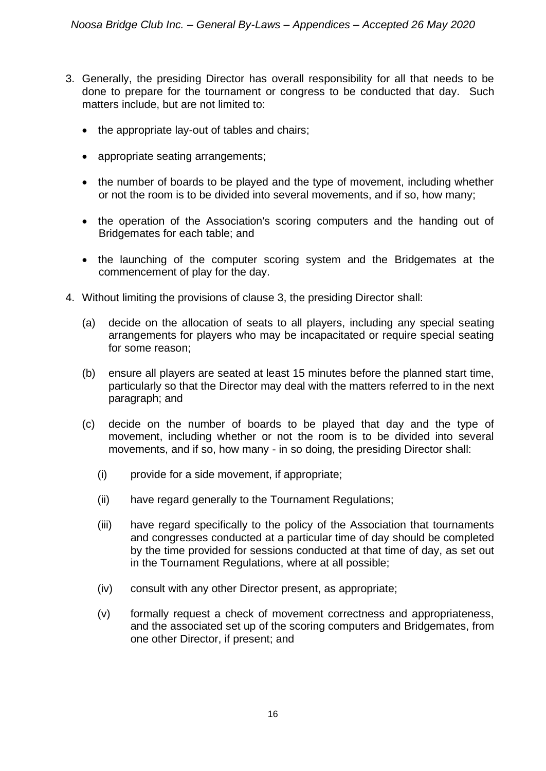- 3. Generally, the presiding Director has overall responsibility for all that needs to be done to prepare for the tournament or congress to be conducted that day. Such matters include, but are not limited to:
	- the appropriate lay-out of tables and chairs;
	- appropriate seating arrangements;
	- the number of boards to be played and the type of movement, including whether or not the room is to be divided into several movements, and if so, how many;
	- the operation of the Association's scoring computers and the handing out of Bridgemates for each table; and
	- the launching of the computer scoring system and the Bridgemates at the commencement of play for the day.
- 4. Without limiting the provisions of clause 3, the presiding Director shall:
	- (a) decide on the allocation of seats to all players, including any special seating arrangements for players who may be incapacitated or require special seating for some reason;
	- (b) ensure all players are seated at least 15 minutes before the planned start time, particularly so that the Director may deal with the matters referred to in the next paragraph; and
	- (c) decide on the number of boards to be played that day and the type of movement, including whether or not the room is to be divided into several movements, and if so, how many - in so doing, the presiding Director shall:
		- (i) provide for a side movement, if appropriate;
		- (ii) have regard generally to the Tournament Regulations;
		- (iii) have regard specifically to the policy of the Association that tournaments and congresses conducted at a particular time of day should be completed by the time provided for sessions conducted at that time of day, as set out in the Tournament Regulations, where at all possible;
		- (iv) consult with any other Director present, as appropriate;
		- (v) formally request a check of movement correctness and appropriateness, and the associated set up of the scoring computers and Bridgemates, from one other Director, if present; and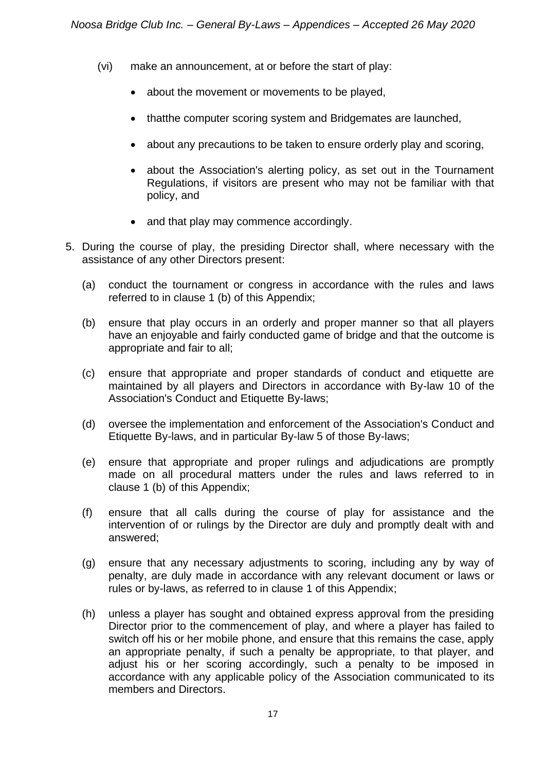- (vi) make an announcement, at or before the start of play:
	- about the movement or movements to be played,
	- thatthe computer scoring system and Bridgemates are launched,
	- about any precautions to be taken to ensure orderly play and scoring,
	- about the Association's alerting policy, as set out in the Tournament Regulations, if visitors are present who may not be familiar with that policy, and
	- and that play may commence accordingly.
- 5. During the course of play, the presiding Director shall, where necessary with the assistance of any other Directors present:
	- (a) conduct the tournament or congress in accordance with the rules and laws referred to in clause 1 (b) of this Appendix;
	- (b) ensure that play occurs in an orderly and proper manner so that all players have an enjoyable and fairly conducted game of bridge and that the outcome is appropriate and fair to all;
	- (c) ensure that appropriate and proper standards of conduct and etiquette are maintained by all players and Directors in accordance with By-law 10 of the Association's Conduct and Etiquette By-laws;
	- (d) oversee the implementation and enforcement of the Association's Conduct and Etiquette By-laws, and in particular By-law 5 of those By-laws;
	- (e) ensure that appropriate and proper rulings and adjudications are promptly made on all procedural matters under the rules and laws referred to in clause 1 (b) of this Appendix;
	- (f) ensure that all calls during the course of play for assistance and the intervention of or rulings by the Director are duly and promptly dealt with and answered;
	- (g) ensure that any necessary adjustments to scoring, including any by way of penalty, are duly made in accordance with any relevant document or laws or rules or by-laws, as referred to in clause 1 of this Appendix;
	- (h) unless a player has sought and obtained express approval from the presiding Director prior to the commencement of play, and where a player has failed to switch off his or her mobile phone, and ensure that this remains the case, apply an appropriate penalty, if such a penalty be appropriate, to that player, and adjust his or her scoring accordingly, such a penalty to be imposed in accordance with any applicable policy of the Association communicated to its members and Directors.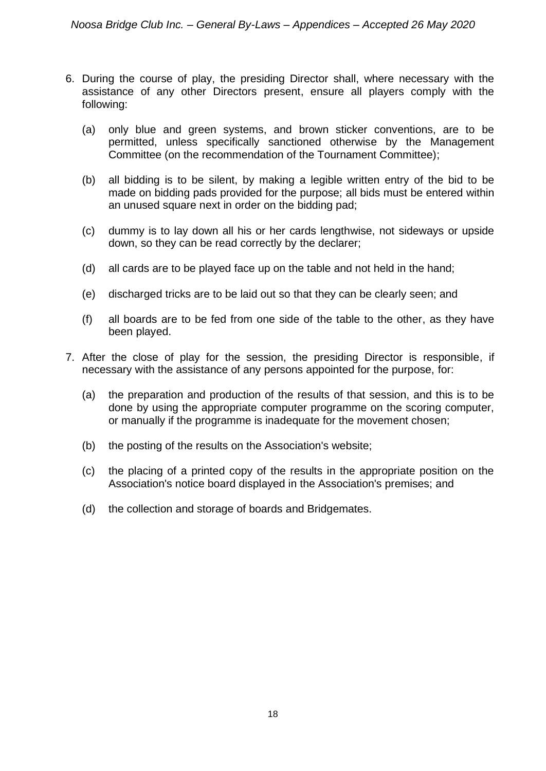- 6. During the course of play, the presiding Director shall, where necessary with the assistance of any other Directors present, ensure all players comply with the following:
	- (a) only blue and green systems, and brown sticker conventions, are to be permitted, unless specifically sanctioned otherwise by the Management Committee (on the recommendation of the Tournament Committee);
	- (b) all bidding is to be silent, by making a legible written entry of the bid to be made on bidding pads provided for the purpose; all bids must be entered within an unused square next in order on the bidding pad;
	- (c) dummy is to lay down all his or her cards lengthwise, not sideways or upside down, so they can be read correctly by the declarer;
	- (d) all cards are to be played face up on the table and not held in the hand;
	- (e) discharged tricks are to be laid out so that they can be clearly seen; and
	- (f) all boards are to be fed from one side of the table to the other, as they have been played.
- 7. After the close of play for the session, the presiding Director is responsible, if necessary with the assistance of any persons appointed for the purpose, for:
	- (a) the preparation and production of the results of that session, and this is to be done by using the appropriate computer programme on the scoring computer, or manually if the programme is inadequate for the movement chosen;
	- (b) the posting of the results on the Association's website;
	- (c) the placing of a printed copy of the results in the appropriate position on the Association's notice board displayed in the Association's premises; and
	- (d) the collection and storage of boards and Bridgemates.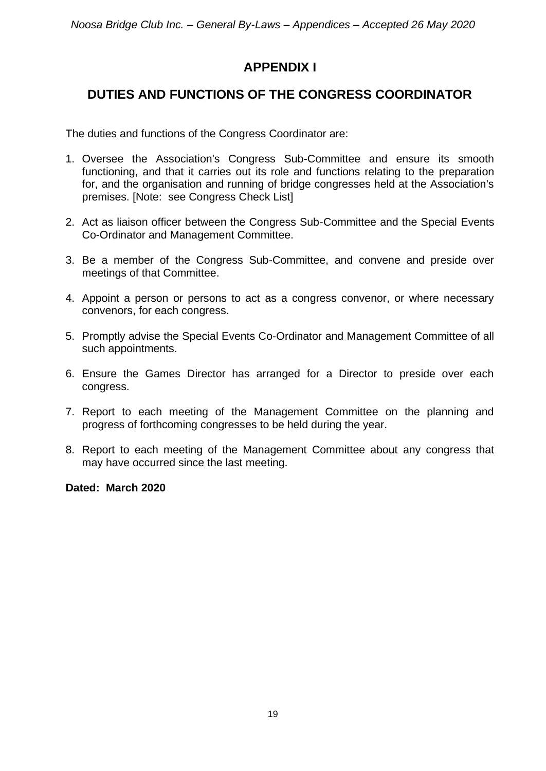# **APPENDIX I**

# **DUTIES AND FUNCTIONS OF THE CONGRESS COORDINATOR**

The duties and functions of the Congress Coordinator are:

- 1. Oversee the Association's Congress Sub-Committee and ensure its smooth functioning, and that it carries out its role and functions relating to the preparation for, and the organisation and running of bridge congresses held at the Association's premises. [Note: see Congress Check List]
- 2. Act as liaison officer between the Congress Sub-Committee and the Special Events Co-Ordinator and Management Committee.
- 3. Be a member of the Congress Sub-Committee, and convene and preside over meetings of that Committee.
- 4. Appoint a person or persons to act as a congress convenor, or where necessary convenors, for each congress.
- 5. Promptly advise the Special Events Co-Ordinator and Management Committee of all such appointments.
- 6. Ensure the Games Director has arranged for a Director to preside over each congress.
- 7. Report to each meeting of the Management Committee on the planning and progress of forthcoming congresses to be held during the year.
- 8. Report to each meeting of the Management Committee about any congress that may have occurred since the last meeting.

**Dated: March 2020**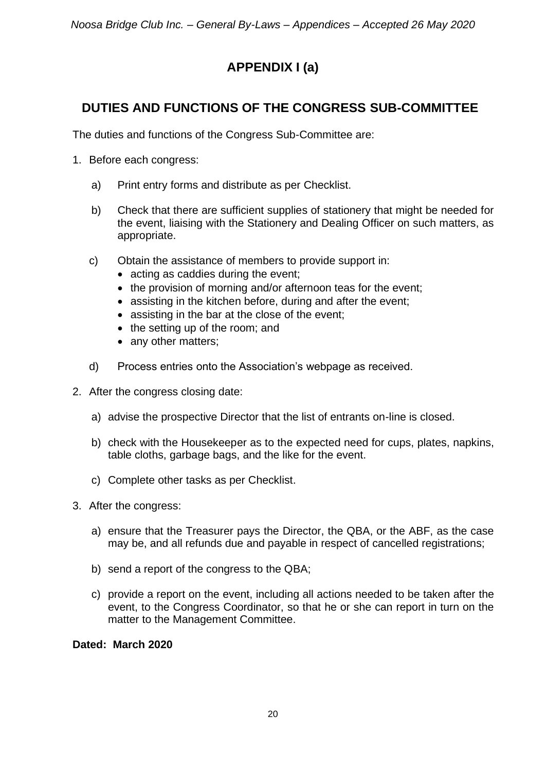# **APPENDIX I (a)**

# **DUTIES AND FUNCTIONS OF THE CONGRESS SUB-COMMITTEE**

The duties and functions of the Congress Sub-Committee are:

- 1. Before each congress:
	- a) Print entry forms and distribute as per Checklist.
	- b) Check that there are sufficient supplies of stationery that might be needed for the event, liaising with the Stationery and Dealing Officer on such matters, as appropriate.
	- c) Obtain the assistance of members to provide support in:
		- acting as caddies during the event;
		- the provision of morning and/or afternoon teas for the event;
		- assisting in the kitchen before, during and after the event;
		- assisting in the bar at the close of the event;
		- the setting up of the room; and
		- any other matters;
	- d) Process entries onto the Association's webpage as received.
- 2. After the congress closing date:
	- a) advise the prospective Director that the list of entrants on-line is closed.
	- b) check with the Housekeeper as to the expected need for cups, plates, napkins, table cloths, garbage bags, and the like for the event.
	- c) Complete other tasks as per Checklist.
- 3. After the congress:
	- a) ensure that the Treasurer pays the Director, the QBA, or the ABF, as the case may be, and all refunds due and payable in respect of cancelled registrations;
	- b) send a report of the congress to the QBA;
	- c) provide a report on the event, including all actions needed to be taken after the event, to the Congress Coordinator, so that he or she can report in turn on the matter to the Management Committee.

**Dated: March 2020**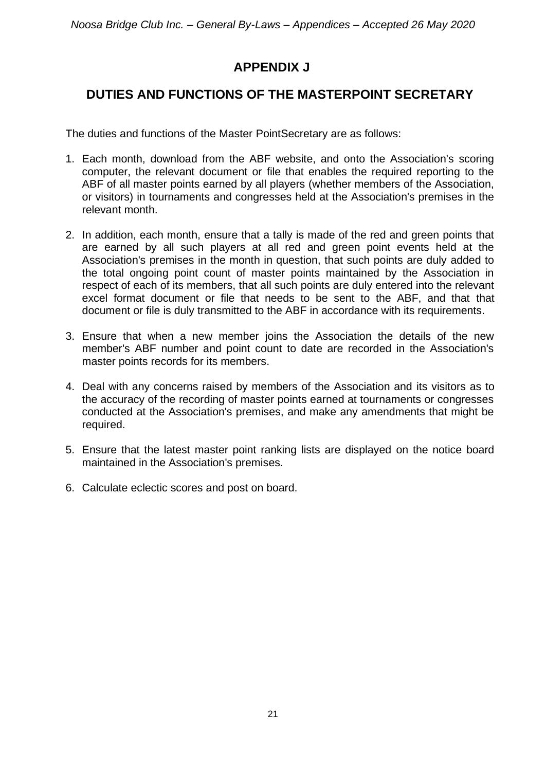# **APPENDIX J**

# **DUTIES AND FUNCTIONS OF THE MASTERPOINT SECRETARY**

The duties and functions of the Master PointSecretary are as follows:

- 1. Each month, download from the ABF website, and onto the Association's scoring computer, the relevant document or file that enables the required reporting to the ABF of all master points earned by all players (whether members of the Association, or visitors) in tournaments and congresses held at the Association's premises in the relevant month.
- 2. In addition, each month, ensure that a tally is made of the red and green points that are earned by all such players at all red and green point events held at the Association's premises in the month in question, that such points are duly added to the total ongoing point count of master points maintained by the Association in respect of each of its members, that all such points are duly entered into the relevant excel format document or file that needs to be sent to the ABF, and that that document or file is duly transmitted to the ABF in accordance with its requirements.
- 3. Ensure that when a new member joins the Association the details of the new member's ABF number and point count to date are recorded in the Association's master points records for its members.
- 4. Deal with any concerns raised by members of the Association and its visitors as to the accuracy of the recording of master points earned at tournaments or congresses conducted at the Association's premises, and make any amendments that might be required.
- 5. Ensure that the latest master point ranking lists are displayed on the notice board maintained in the Association's premises.
- 6. Calculate eclectic scores and post on board.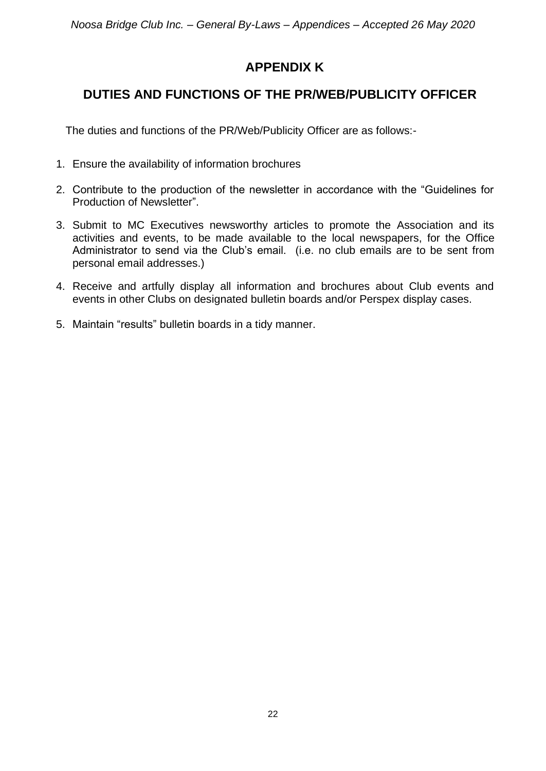# **APPENDIX K**

# **DUTIES AND FUNCTIONS OF THE PR/WEB/PUBLICITY OFFICER**

The duties and functions of the PR/Web/Publicity Officer are as follows:-

- 1. Ensure the availability of information brochures
- 2. Contribute to the production of the newsletter in accordance with the "Guidelines for Production of Newsletter".
- 3. Submit to MC Executives newsworthy articles to promote the Association and its activities and events, to be made available to the local newspapers, for the Office Administrator to send via the Club's email. (i.e. no club emails are to be sent from personal email addresses.)
- 4. Receive and artfully display all information and brochures about Club events and events in other Clubs on designated bulletin boards and/or Perspex display cases.
- 5. Maintain "results" bulletin boards in a tidy manner.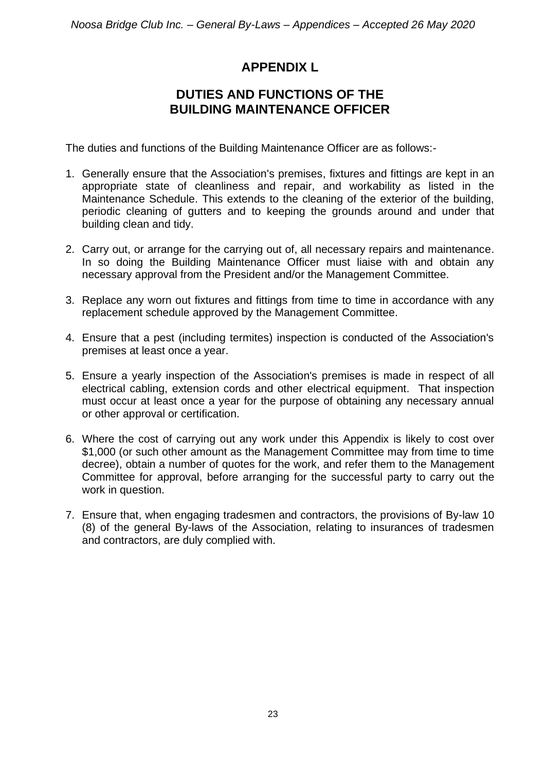### **APPENDIX L**

### **DUTIES AND FUNCTIONS OF THE BUILDING MAINTENANCE OFFICER**

The duties and functions of the Building Maintenance Officer are as follows:-

- 1. Generally ensure that the Association's premises, fixtures and fittings are kept in an appropriate state of cleanliness and repair, and workability as listed in the Maintenance Schedule. This extends to the cleaning of the exterior of the building, periodic cleaning of gutters and to keeping the grounds around and under that building clean and tidy.
- 2. Carry out, or arrange for the carrying out of, all necessary repairs and maintenance. In so doing the Building Maintenance Officer must liaise with and obtain any necessary approval from the President and/or the Management Committee.
- 3. Replace any worn out fixtures and fittings from time to time in accordance with any replacement schedule approved by the Management Committee.
- 4. Ensure that a pest (including termites) inspection is conducted of the Association's premises at least once a year.
- 5. Ensure a yearly inspection of the Association's premises is made in respect of all electrical cabling, extension cords and other electrical equipment. That inspection must occur at least once a year for the purpose of obtaining any necessary annual or other approval or certification.
- 6. Where the cost of carrying out any work under this Appendix is likely to cost over \$1,000 (or such other amount as the Management Committee may from time to time decree), obtain a number of quotes for the work, and refer them to the Management Committee for approval, before arranging for the successful party to carry out the work in question.
- 7. Ensure that, when engaging tradesmen and contractors, the provisions of By-law 10 (8) of the general By-laws of the Association, relating to insurances of tradesmen and contractors, are duly complied with.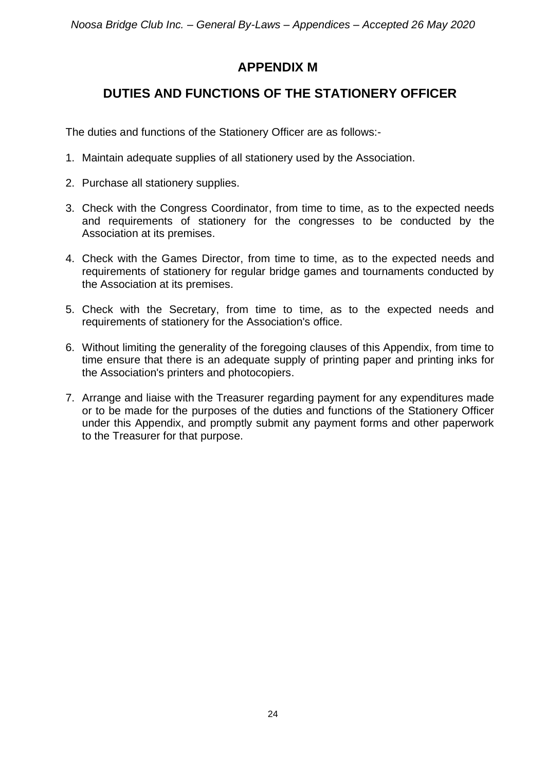# **APPENDIX M**

# **DUTIES AND FUNCTIONS OF THE STATIONERY OFFICER**

The duties and functions of the Stationery Officer are as follows:-

- 1. Maintain adequate supplies of all stationery used by the Association.
- 2. Purchase all stationery supplies.
- 3. Check with the Congress Coordinator, from time to time, as to the expected needs and requirements of stationery for the congresses to be conducted by the Association at its premises.
- 4. Check with the Games Director, from time to time, as to the expected needs and requirements of stationery for regular bridge games and tournaments conducted by the Association at its premises.
- 5. Check with the Secretary, from time to time, as to the expected needs and requirements of stationery for the Association's office.
- 6. Without limiting the generality of the foregoing clauses of this Appendix, from time to time ensure that there is an adequate supply of printing paper and printing inks for the Association's printers and photocopiers.
- 7. Arrange and liaise with the Treasurer regarding payment for any expenditures made or to be made for the purposes of the duties and functions of the Stationery Officer under this Appendix, and promptly submit any payment forms and other paperwork to the Treasurer for that purpose.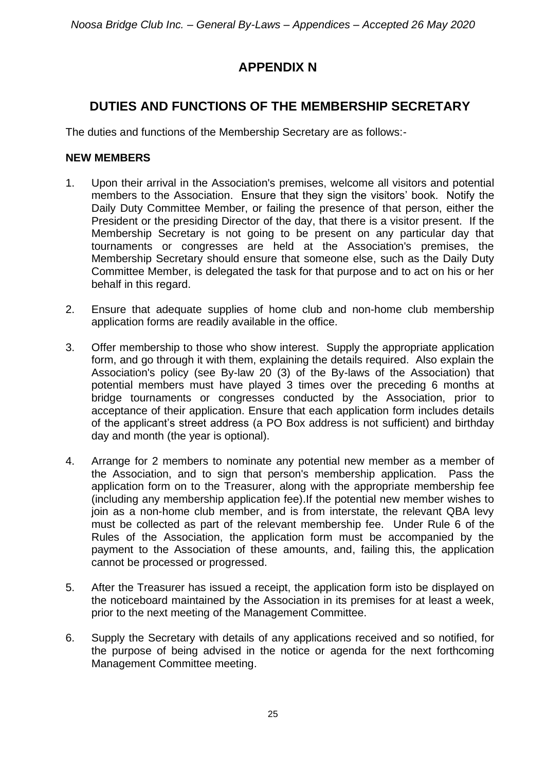# **APPENDIX N**

# **DUTIES AND FUNCTIONS OF THE MEMBERSHIP SECRETARY**

The duties and functions of the Membership Secretary are as follows:-

#### **NEW MEMBERS**

- 1. Upon their arrival in the Association's premises, welcome all visitors and potential members to the Association. Ensure that they sign the visitors' book. Notify the Daily Duty Committee Member, or failing the presence of that person, either the President or the presiding Director of the day, that there is a visitor present. If the Membership Secretary is not going to be present on any particular day that tournaments or congresses are held at the Association's premises, the Membership Secretary should ensure that someone else, such as the Daily Duty Committee Member, is delegated the task for that purpose and to act on his or her behalf in this regard.
- 2. Ensure that adequate supplies of home club and non-home club membership application forms are readily available in the office.
- 3. Offer membership to those who show interest. Supply the appropriate application form, and go through it with them, explaining the details required. Also explain the Association's policy (see By-law 20 (3) of the By-laws of the Association) that potential members must have played 3 times over the preceding 6 months at bridge tournaments or congresses conducted by the Association, prior to acceptance of their application. Ensure that each application form includes details of the applicant's street address (a PO Box address is not sufficient) and birthday day and month (the year is optional).
- 4. Arrange for 2 members to nominate any potential new member as a member of the Association, and to sign that person's membership application. Pass the application form on to the Treasurer, along with the appropriate membership fee (including any membership application fee).If the potential new member wishes to join as a non-home club member, and is from interstate, the relevant QBA levy must be collected as part of the relevant membership fee. Under Rule 6 of the Rules of the Association, the application form must be accompanied by the payment to the Association of these amounts, and, failing this, the application cannot be processed or progressed.
- 5. After the Treasurer has issued a receipt, the application form isto be displayed on the noticeboard maintained by the Association in its premises for at least a week, prior to the next meeting of the Management Committee.
- 6. Supply the Secretary with details of any applications received and so notified, for the purpose of being advised in the notice or agenda for the next forthcoming Management Committee meeting.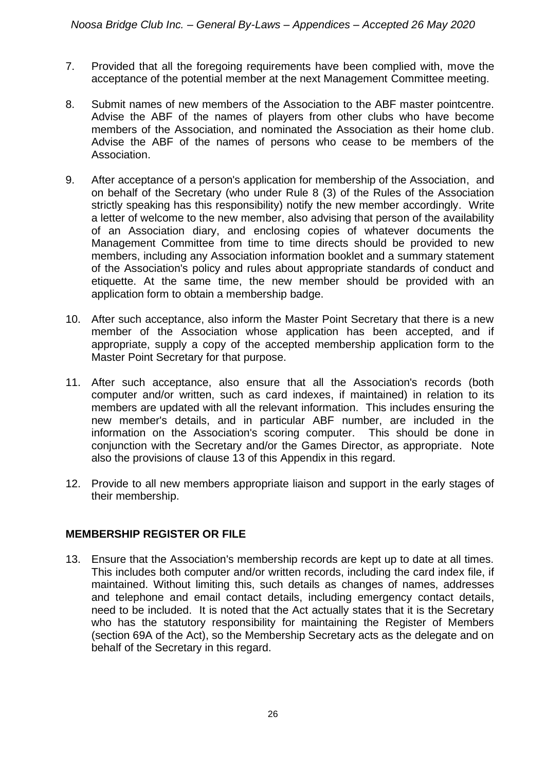- 7. Provided that all the foregoing requirements have been complied with, move the acceptance of the potential member at the next Management Committee meeting.
- 8. Submit names of new members of the Association to the ABF master pointcentre. Advise the ABF of the names of players from other clubs who have become members of the Association, and nominated the Association as their home club. Advise the ABF of the names of persons who cease to be members of the Association.
- 9. After acceptance of a person's application for membership of the Association, and on behalf of the Secretary (who under Rule 8 (3) of the Rules of the Association strictly speaking has this responsibility) notify the new member accordingly. Write a letter of welcome to the new member, also advising that person of the availability of an Association diary, and enclosing copies of whatever documents the Management Committee from time to time directs should be provided to new members, including any Association information booklet and a summary statement of the Association's policy and rules about appropriate standards of conduct and etiquette. At the same time, the new member should be provided with an application form to obtain a membership badge.
- 10. After such acceptance, also inform the Master Point Secretary that there is a new member of the Association whose application has been accepted, and if appropriate, supply a copy of the accepted membership application form to the Master Point Secretary for that purpose.
- 11. After such acceptance, also ensure that all the Association's records (both computer and/or written, such as card indexes, if maintained) in relation to its members are updated with all the relevant information. This includes ensuring the new member's details, and in particular ABF number, are included in the information on the Association's scoring computer. This should be done in conjunction with the Secretary and/or the Games Director, as appropriate. Note also the provisions of clause 13 of this Appendix in this regard.
- 12. Provide to all new members appropriate liaison and support in the early stages of their membership.

#### **MEMBERSHIP REGISTER OR FILE**

13. Ensure that the Association's membership records are kept up to date at all times. This includes both computer and/or written records, including the card index file, if maintained. Without limiting this, such details as changes of names, addresses and telephone and email contact details, including emergency contact details, need to be included. It is noted that the Act actually states that it is the Secretary who has the statutory responsibility for maintaining the Register of Members (section 69A of the Act), so the Membership Secretary acts as the delegate and on behalf of the Secretary in this regard.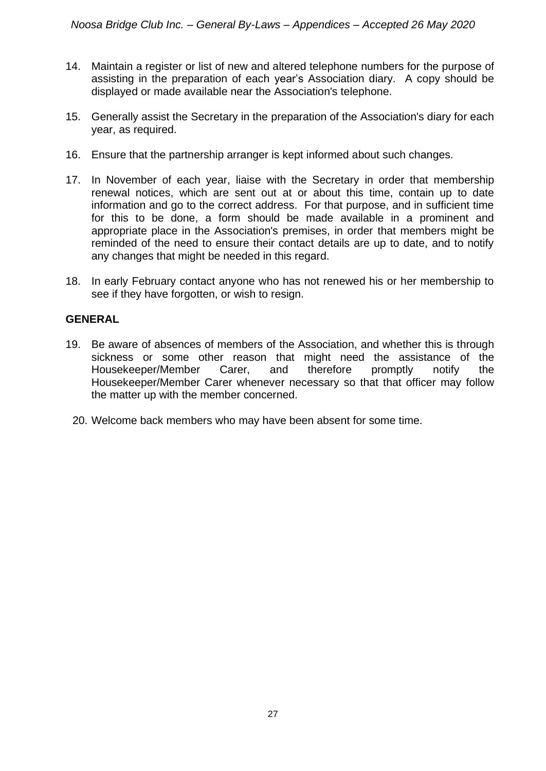- 14. Maintain a register or list of new and altered telephone numbers for the purpose of assisting in the preparation of each year's Association diary. A copy should be displayed or made available near the Association's telephone.
- 15. Generally assist the Secretary in the preparation of the Association's diary for each year, as required.
- 16. Ensure that the partnership arranger is kept informed about such changes.
- 17. In November of each year, liaise with the Secretary in order that membership renewal notices, which are sent out at or about this time, contain up to date information and go to the correct address. For that purpose, and in sufficient time for this to be done, a form should be made available in a prominent and appropriate place in the Association's premises, in order that members might be reminded of the need to ensure their contact details are up to date, and to notify any changes that might be needed in this regard.
- 18. In early February contact anyone who has not renewed his or her membership to see if they have forgotten, or wish to resign.

#### **GENERAL**

- 19. Be aware of absences of members of the Association, and whether this is through sickness or some other reason that might need the assistance of the Housekeeper/Member Carer, and therefore promptly notify the Housekeeper/Member Carer whenever necessary so that that officer may follow the matter up with the member concerned.
	- 20. Welcome back members who may have been absent for some time.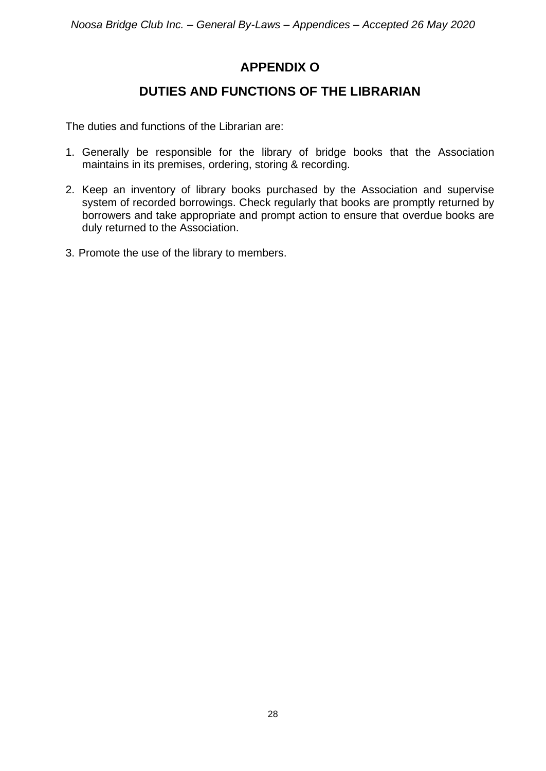# **APPENDIX O**

### **DUTIES AND FUNCTIONS OF THE LIBRARIAN**

The duties and functions of the Librarian are:

- 1. Generally be responsible for the library of bridge books that the Association maintains in its premises, ordering, storing & recording.
- 2. Keep an inventory of library books purchased by the Association and supervise system of recorded borrowings. Check regularly that books are promptly returned by borrowers and take appropriate and prompt action to ensure that overdue books are duly returned to the Association.
- 3. Promote the use of the library to members.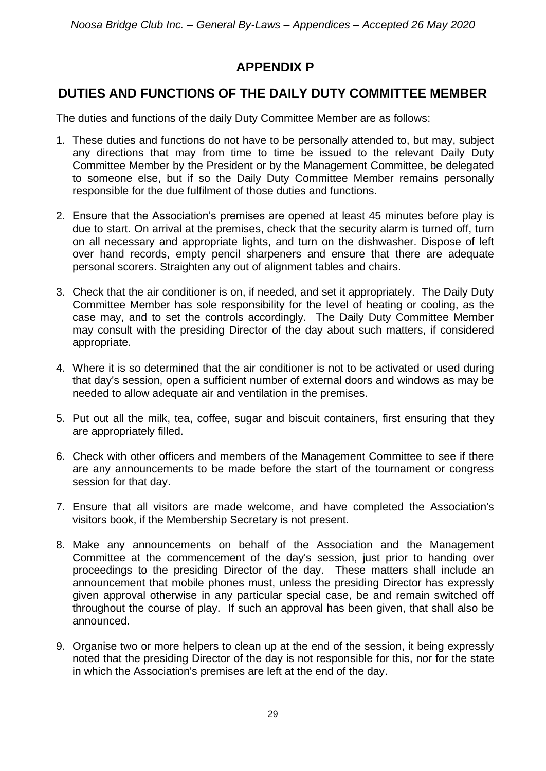# **APPENDIX P**

# **DUTIES AND FUNCTIONS OF THE DAILY DUTY COMMITTEE MEMBER**

The duties and functions of the daily Duty Committee Member are as follows:

- 1. These duties and functions do not have to be personally attended to, but may, subject any directions that may from time to time be issued to the relevant Daily Duty Committee Member by the President or by the Management Committee, be delegated to someone else, but if so the Daily Duty Committee Member remains personally responsible for the due fulfilment of those duties and functions.
- 2. Ensure that the Association's premises are opened at least 45 minutes before play is due to start. On arrival at the premises, check that the security alarm is turned off, turn on all necessary and appropriate lights, and turn on the dishwasher. Dispose of left over hand records, empty pencil sharpeners and ensure that there are adequate personal scorers. Straighten any out of alignment tables and chairs.
- 3. Check that the air conditioner is on, if needed, and set it appropriately. The Daily Duty Committee Member has sole responsibility for the level of heating or cooling, as the case may, and to set the controls accordingly. The Daily Duty Committee Member may consult with the presiding Director of the day about such matters, if considered appropriate.
- 4. Where it is so determined that the air conditioner is not to be activated or used during that day's session, open a sufficient number of external doors and windows as may be needed to allow adequate air and ventilation in the premises.
- 5. Put out all the milk, tea, coffee, sugar and biscuit containers, first ensuring that they are appropriately filled.
- 6. Check with other officers and members of the Management Committee to see if there are any announcements to be made before the start of the tournament or congress session for that day.
- 7. Ensure that all visitors are made welcome, and have completed the Association's visitors book, if the Membership Secretary is not present.
- 8. Make any announcements on behalf of the Association and the Management Committee at the commencement of the day's session, just prior to handing over proceedings to the presiding Director of the day. These matters shall include an announcement that mobile phones must, unless the presiding Director has expressly given approval otherwise in any particular special case, be and remain switched off throughout the course of play. If such an approval has been given, that shall also be announced.
- 9. Organise two or more helpers to clean up at the end of the session, it being expressly noted that the presiding Director of the day is not responsible for this, nor for the state in which the Association's premises are left at the end of the day.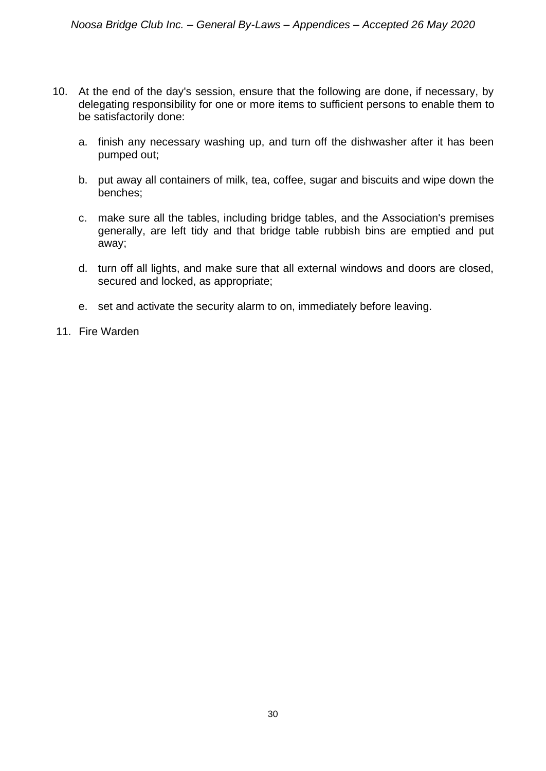- 10. At the end of the day's session, ensure that the following are done, if necessary, by delegating responsibility for one or more items to sufficient persons to enable them to be satisfactorily done:
	- a. finish any necessary washing up, and turn off the dishwasher after it has been pumped out;
	- b. put away all containers of milk, tea, coffee, sugar and biscuits and wipe down the benches;
	- c. make sure all the tables, including bridge tables, and the Association's premises generally, are left tidy and that bridge table rubbish bins are emptied and put away;
	- d. turn off all lights, and make sure that all external windows and doors are closed, secured and locked, as appropriate;
	- e. set and activate the security alarm to on, immediately before leaving.
- 11. Fire Warden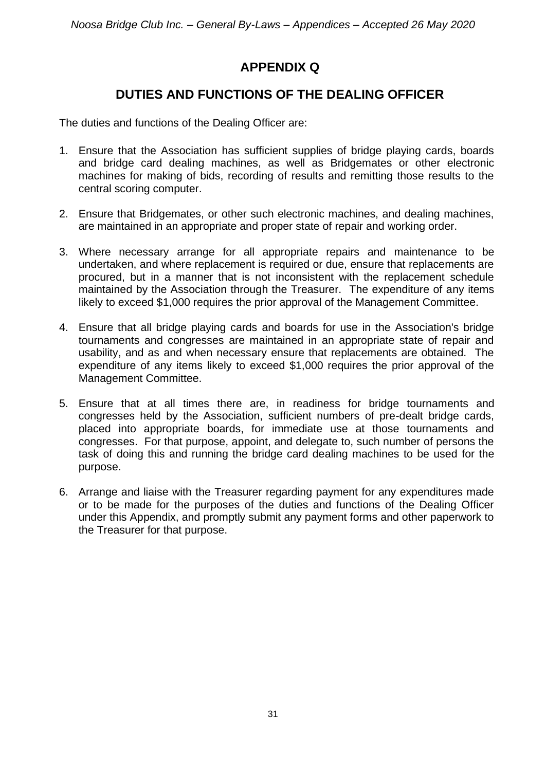# **APPENDIX Q**

### **DUTIES AND FUNCTIONS OF THE DEALING OFFICER**

The duties and functions of the Dealing Officer are:

- 1. Ensure that the Association has sufficient supplies of bridge playing cards, boards and bridge card dealing machines, as well as Bridgemates or other electronic machines for making of bids, recording of results and remitting those results to the central scoring computer.
- 2. Ensure that Bridgemates, or other such electronic machines, and dealing machines, are maintained in an appropriate and proper state of repair and working order.
- 3. Where necessary arrange for all appropriate repairs and maintenance to be undertaken, and where replacement is required or due, ensure that replacements are procured, but in a manner that is not inconsistent with the replacement schedule maintained by the Association through the Treasurer. The expenditure of any items likely to exceed \$1,000 requires the prior approval of the Management Committee.
- 4. Ensure that all bridge playing cards and boards for use in the Association's bridge tournaments and congresses are maintained in an appropriate state of repair and usability, and as and when necessary ensure that replacements are obtained. The expenditure of any items likely to exceed \$1,000 requires the prior approval of the Management Committee.
- 5. Ensure that at all times there are, in readiness for bridge tournaments and congresses held by the Association, sufficient numbers of pre-dealt bridge cards, placed into appropriate boards, for immediate use at those tournaments and congresses. For that purpose, appoint, and delegate to, such number of persons the task of doing this and running the bridge card dealing machines to be used for the purpose.
- 6. Arrange and liaise with the Treasurer regarding payment for any expenditures made or to be made for the purposes of the duties and functions of the Dealing Officer under this Appendix, and promptly submit any payment forms and other paperwork to the Treasurer for that purpose.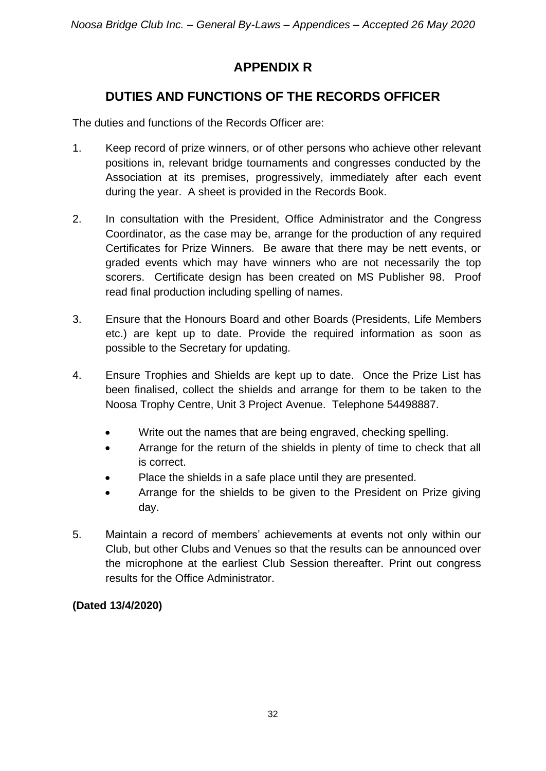# **APPENDIX R**

# **DUTIES AND FUNCTIONS OF THE RECORDS OFFICER**

The duties and functions of the Records Officer are:

- 1. Keep record of prize winners, or of other persons who achieve other relevant positions in, relevant bridge tournaments and congresses conducted by the Association at its premises, progressively, immediately after each event during the year. A sheet is provided in the Records Book.
- 2. In consultation with the President, Office Administrator and the Congress Coordinator, as the case may be, arrange for the production of any required Certificates for Prize Winners. Be aware that there may be nett events, or graded events which may have winners who are not necessarily the top scorers. Certificate design has been created on MS Publisher 98. Proof read final production including spelling of names.
- 3. Ensure that the Honours Board and other Boards (Presidents, Life Members etc.) are kept up to date. Provide the required information as soon as possible to the Secretary for updating.
- 4. Ensure Trophies and Shields are kept up to date. Once the Prize List has been finalised, collect the shields and arrange for them to be taken to the Noosa Trophy Centre, Unit 3 Project Avenue. Telephone 54498887.
	- Write out the names that are being engraved, checking spelling.
	- Arrange for the return of the shields in plenty of time to check that all is correct.
	- Place the shields in a safe place until they are presented.
	- Arrange for the shields to be given to the President on Prize giving day.
- 5. Maintain a record of members' achievements at events not only within our Club, but other Clubs and Venues so that the results can be announced over the microphone at the earliest Club Session thereafter. Print out congress results for the Office Administrator.

### **(Dated 13/4/2020)**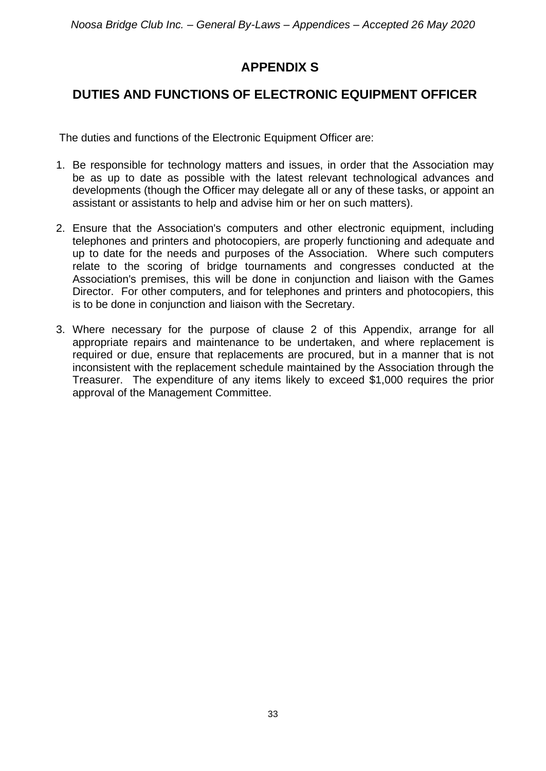# **APPENDIX S**

## **DUTIES AND FUNCTIONS OF ELECTRONIC EQUIPMENT OFFICER**

The duties and functions of the Electronic Equipment Officer are:

- 1. Be responsible for technology matters and issues, in order that the Association may be as up to date as possible with the latest relevant technological advances and developments (though the Officer may delegate all or any of these tasks, or appoint an assistant or assistants to help and advise him or her on such matters).
- 2. Ensure that the Association's computers and other electronic equipment, including telephones and printers and photocopiers, are properly functioning and adequate and up to date for the needs and purposes of the Association. Where such computers relate to the scoring of bridge tournaments and congresses conducted at the Association's premises, this will be done in conjunction and liaison with the Games Director. For other computers, and for telephones and printers and photocopiers, this is to be done in conjunction and liaison with the Secretary.
- 3. Where necessary for the purpose of clause 2 of this Appendix, arrange for all appropriate repairs and maintenance to be undertaken, and where replacement is required or due, ensure that replacements are procured, but in a manner that is not inconsistent with the replacement schedule maintained by the Association through the Treasurer. The expenditure of any items likely to exceed \$1,000 requires the prior approval of the Management Committee.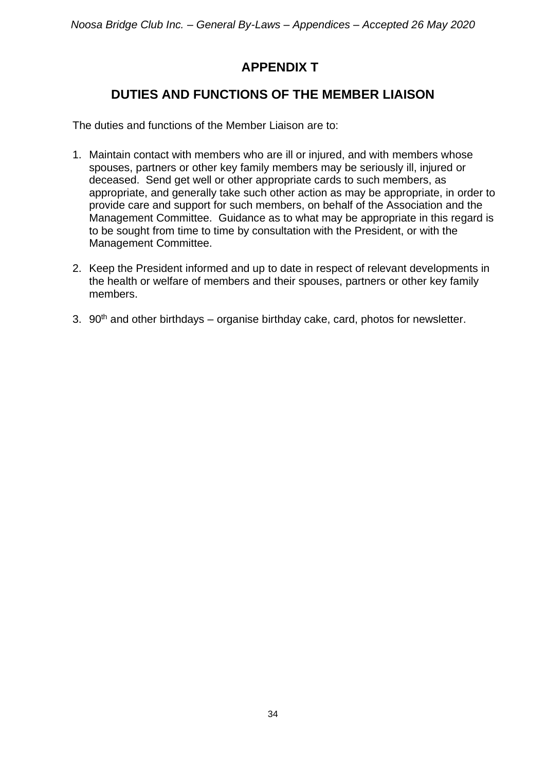# **APPENDIX T**

## **DUTIES AND FUNCTIONS OF THE MEMBER LIAISON**

The duties and functions of the Member Liaison are to:

- 1. Maintain contact with members who are ill or injured, and with members whose spouses, partners or other key family members may be seriously ill, injured or deceased. Send get well or other appropriate cards to such members, as appropriate, and generally take such other action as may be appropriate, in order to provide care and support for such members, on behalf of the Association and the Management Committee. Guidance as to what may be appropriate in this regard is to be sought from time to time by consultation with the President, or with the Management Committee.
- 2. Keep the President informed and up to date in respect of relevant developments in the health or welfare of members and their spouses, partners or other key family members.
- 3.  $90<sup>th</sup>$  and other birthdays organise birthday cake, card, photos for newsletter.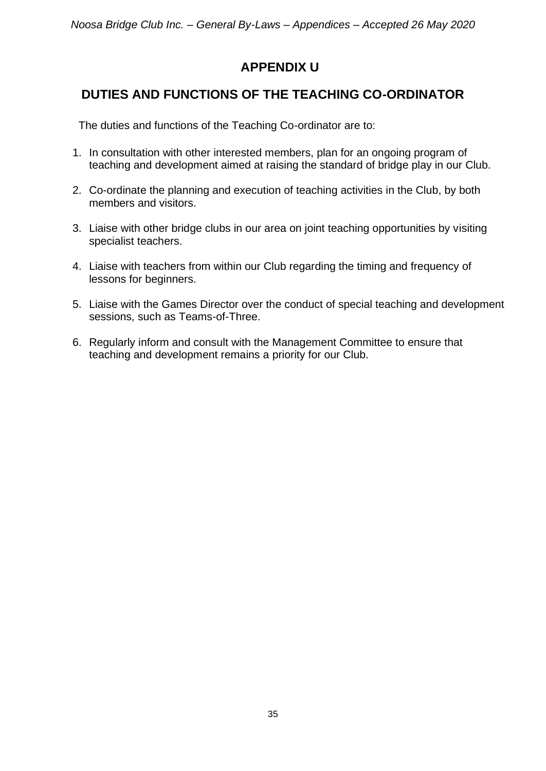# **APPENDIX U**

# **DUTIES AND FUNCTIONS OF THE TEACHING CO-ORDINATOR**

The duties and functions of the Teaching Co-ordinator are to:

- 1. In consultation with other interested members, plan for an ongoing program of teaching and development aimed at raising the standard of bridge play in our Club.
- 2. Co-ordinate the planning and execution of teaching activities in the Club, by both members and visitors.
- 3. Liaise with other bridge clubs in our area on joint teaching opportunities by visiting specialist teachers.
- 4. Liaise with teachers from within our Club regarding the timing and frequency of lessons for beginners.
- 5. Liaise with the Games Director over the conduct of special teaching and development sessions, such as Teams-of-Three.
- 6. Regularly inform and consult with the Management Committee to ensure that teaching and development remains a priority for our Club.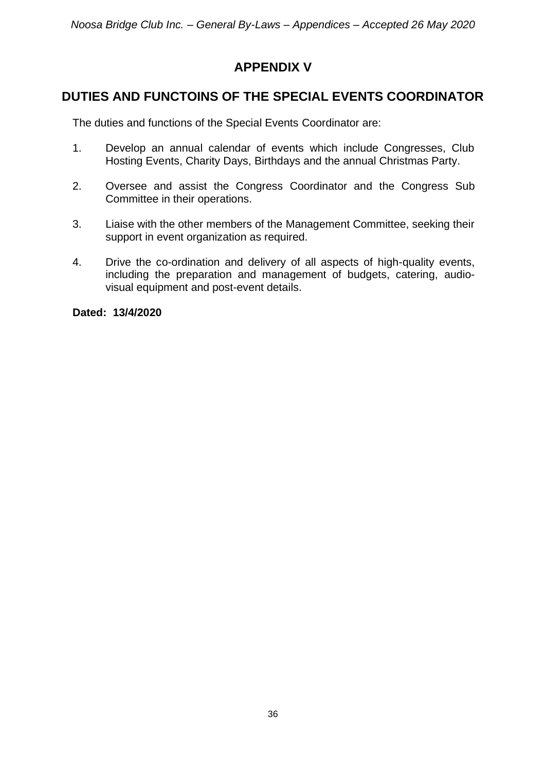# **APPENDIX V**

### **DUTIES AND FUNCTOINS OF THE SPECIAL EVENTS COORDINATOR**

The duties and functions of the Special Events Coordinator are:

- 1. Develop an annual calendar of events which include Congresses, Club Hosting Events, Charity Days, Birthdays and the annual Christmas Party.
- 2. Oversee and assist the Congress Coordinator and the Congress Sub Committee in their operations.
- 3. Liaise with the other members of the Management Committee, seeking their support in event organization as required.
- 4. Drive the co-ordination and delivery of all aspects of high-quality events, including the preparation and management of budgets, catering, audiovisual equipment and post-event details.

**Dated: 13/4/2020**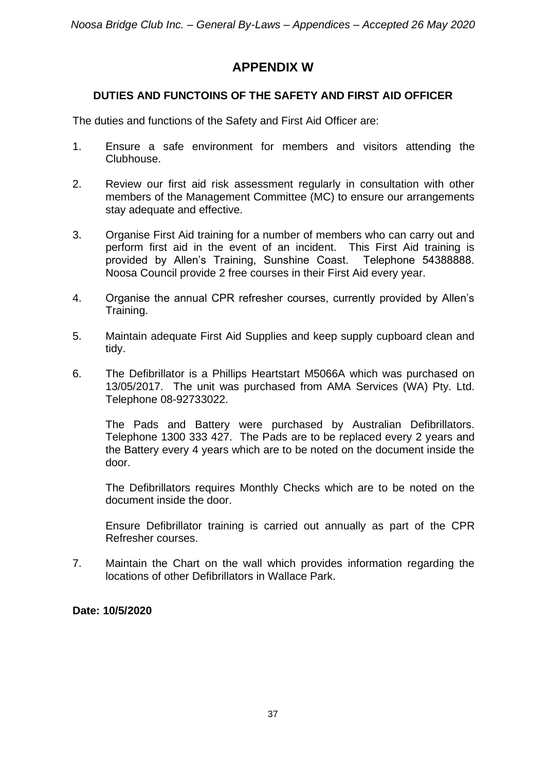### **APPENDIX W**

#### **DUTIES AND FUNCTOINS OF THE SAFETY AND FIRST AID OFFICER**

The duties and functions of the Safety and First Aid Officer are:

- 1. Ensure a safe environment for members and visitors attending the Clubhouse.
- 2. Review our first aid risk assessment regularly in consultation with other members of the Management Committee (MC) to ensure our arrangements stay adequate and effective.
- 3. Organise First Aid training for a number of members who can carry out and perform first aid in the event of an incident. This First Aid training is provided by Allen's Training, Sunshine Coast. Telephone 54388888. Noosa Council provide 2 free courses in their First Aid every year.
- 4. Organise the annual CPR refresher courses, currently provided by Allen's Training.
- 5. Maintain adequate First Aid Supplies and keep supply cupboard clean and tidy.
- 6. The Defibrillator is a Phillips Heartstart M5066A which was purchased on 13/05/2017. The unit was purchased from AMA Services (WA) Pty. Ltd. Telephone 08-92733022.

The Pads and Battery were purchased by Australian Defibrillators. Telephone 1300 333 427. The Pads are to be replaced every 2 years and the Battery every 4 years which are to be noted on the document inside the door.

The Defibrillators requires Monthly Checks which are to be noted on the document inside the door.

Ensure Defibrillator training is carried out annually as part of the CPR Refresher courses.

7. Maintain the Chart on the wall which provides information regarding the locations of other Defibrillators in Wallace Park.

#### **Date: 10/5/2020**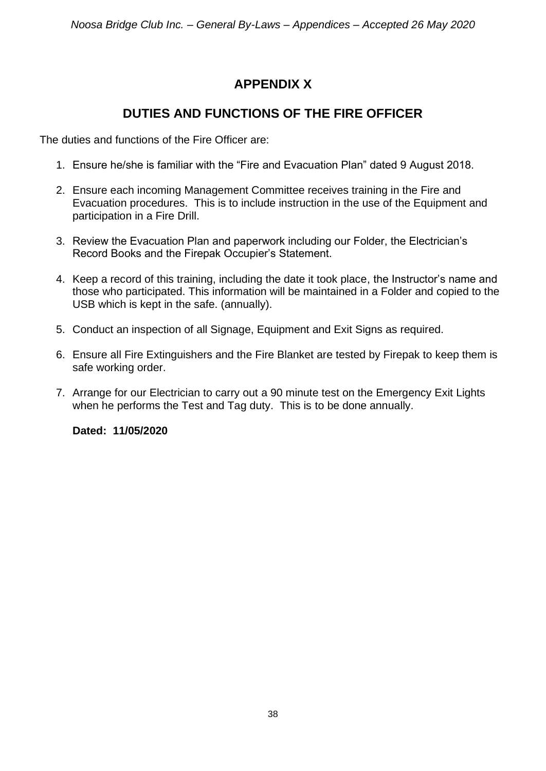# **APPENDIX X**

### **DUTIES AND FUNCTIONS OF THE FIRE OFFICER**

The duties and functions of the Fire Officer are:

- 1. Ensure he/she is familiar with the "Fire and Evacuation Plan" dated 9 August 2018.
- 2. Ensure each incoming Management Committee receives training in the Fire and Evacuation procedures. This is to include instruction in the use of the Equipment and participation in a Fire Drill.
- 3. Review the Evacuation Plan and paperwork including our Folder, the Electrician's Record Books and the Firepak Occupier's Statement.
- 4. Keep a record of this training, including the date it took place, the Instructor's name and those who participated. This information will be maintained in a Folder and copied to the USB which is kept in the safe. (annually).
- 5. Conduct an inspection of all Signage, Equipment and Exit Signs as required.
- 6. Ensure all Fire Extinguishers and the Fire Blanket are tested by Firepak to keep them is safe working order.
- 7. Arrange for our Electrician to carry out a 90 minute test on the Emergency Exit Lights when he performs the Test and Tag duty. This is to be done annually.

**Dated: 11/05/2020**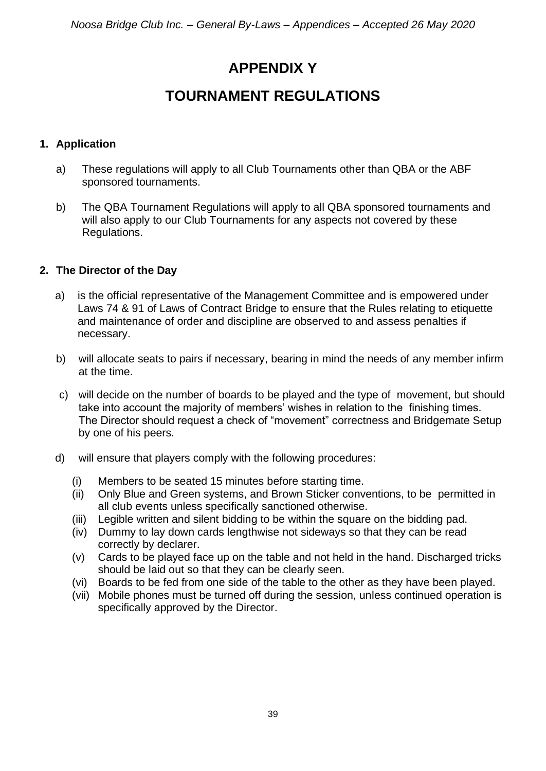# **APPENDIX Y**

# **TOURNAMENT REGULATIONS**

#### **1. Application**

- a) These regulations will apply to all Club Tournaments other than QBA or the ABF sponsored tournaments.
- b) The QBA Tournament Regulations will apply to all QBA sponsored tournaments and will also apply to our Club Tournaments for any aspects not covered by these Regulations.

#### **2. The Director of the Day**

- a) is the official representative of the Management Committee and is empowered under Laws 74 & 91 of Laws of Contract Bridge to ensure that the Rules relating to etiquette and maintenance of order and discipline are observed to and assess penalties if necessary.
- b) will allocate seats to pairs if necessary, bearing in mind the needs of any member infirm at the time.
- c) will decide on the number of boards to be played and the type of movement, but should take into account the majority of members' wishes in relation to the finishing times. The Director should request a check of "movement" correctness and Bridgemate Setup by one of his peers.
- d) will ensure that players comply with the following procedures:
	- (i) Members to be seated 15 minutes before starting time.
	- (ii) Only Blue and Green systems, and Brown Sticker conventions, to be permitted in all club events unless specifically sanctioned otherwise.
	- (iii) Legible written and silent bidding to be within the square on the bidding pad.
	- (iv) Dummy to lay down cards lengthwise not sideways so that they can be read correctly by declarer.
	- (v) Cards to be played face up on the table and not held in the hand. Discharged tricks should be laid out so that they can be clearly seen.
	- (vi) Boards to be fed from one side of the table to the other as they have been played.
	- (vii) Mobile phones must be turned off during the session, unless continued operation is specifically approved by the Director.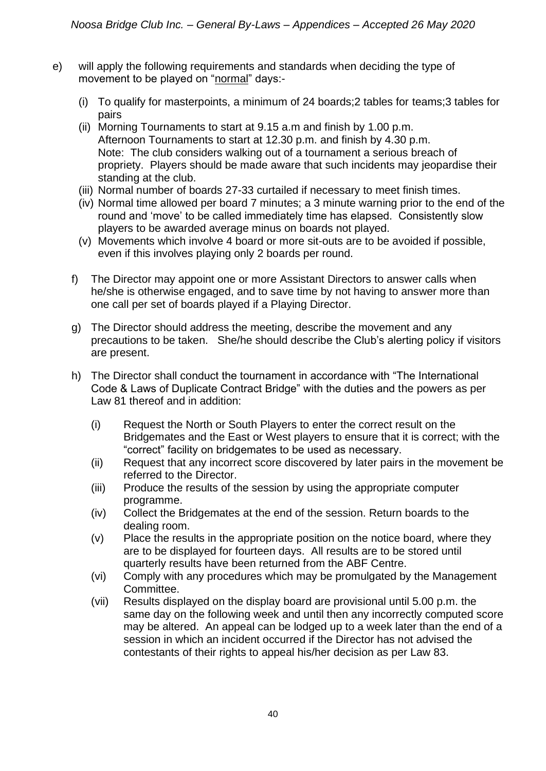- e) will apply the following requirements and standards when deciding the type of movement to be played on "normal" days:-
	- (i) To qualify for masterpoints, a minimum of 24 boards;2 tables for teams;3 tables for pairs
	- (ii) Morning Tournaments to start at 9.15 a.m and finish by 1.00 p.m. Afternoon Tournaments to start at 12.30 p.m. and finish by 4.30 p.m. Note: The club considers walking out of a tournament a serious breach of propriety. Players should be made aware that such incidents may jeopardise their standing at the club.
	- (iii) Normal number of boards 27-33 curtailed if necessary to meet finish times.
	- (iv) Normal time allowed per board 7 minutes; a 3 minute warning prior to the end of the round and 'move' to be called immediately time has elapsed. Consistently slow players to be awarded average minus on boards not played.
	- (v) Movements which involve 4 board or more sit-outs are to be avoided if possible, even if this involves playing only 2 boards per round.
	- f) The Director may appoint one or more Assistant Directors to answer calls when he/she is otherwise engaged, and to save time by not having to answer more than one call per set of boards played if a Playing Director.
	- g) The Director should address the meeting, describe the movement and any precautions to be taken. She/he should describe the Club's alerting policy if visitors are present.
	- h) The Director shall conduct the tournament in accordance with "The International Code & Laws of Duplicate Contract Bridge" with the duties and the powers as per Law 81 thereof and in addition:
		- (i) Request the North or South Players to enter the correct result on the Bridgemates and the East or West players to ensure that it is correct; with the "correct" facility on bridgemates to be used as necessary.
		- (ii) Request that any incorrect score discovered by later pairs in the movement be referred to the Director.
		- (iii) Produce the results of the session by using the appropriate computer programme.
		- (iv) Collect the Bridgemates at the end of the session. Return boards to the dealing room.
		- (v) Place the results in the appropriate position on the notice board, where they are to be displayed for fourteen days. All results are to be stored until quarterly results have been returned from the ABF Centre.
		- (vi) Comply with any procedures which may be promulgated by the Management Committee.
		- (vii) Results displayed on the display board are provisional until 5.00 p.m. the same day on the following week and until then any incorrectly computed score may be altered. An appeal can be lodged up to a week later than the end of a session in which an incident occurred if the Director has not advised the contestants of their rights to appeal his/her decision as per Law 83.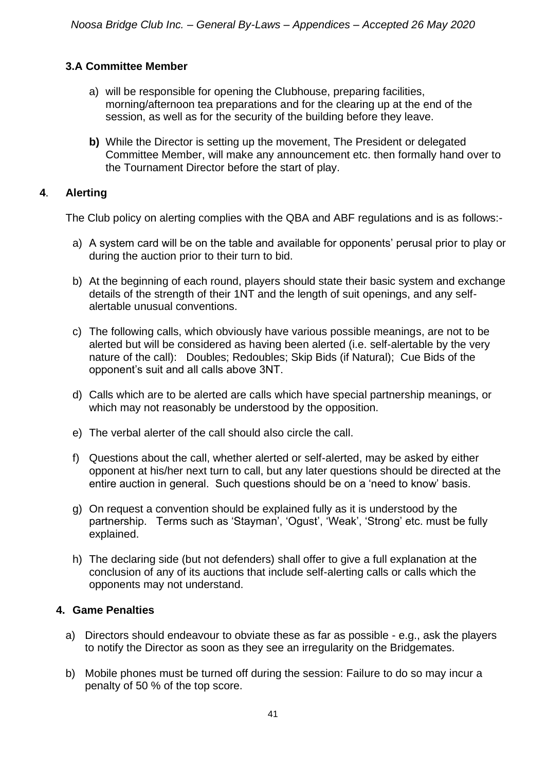#### **3.A Committee Member**

- a) will be responsible for opening the Clubhouse, preparing facilities, morning/afternoon tea preparations and for the clearing up at the end of the session, as well as for the security of the building before they leave.
- **b)** While the Director is setting up the movement, The President or delegated Committee Member, will make any announcement etc. then formally hand over to the Tournament Director before the start of play.

#### **4**. **Alerting**

The Club policy on alerting complies with the QBA and ABF regulations and is as follows:-

- a) A system card will be on the table and available for opponents' perusal prior to play or during the auction prior to their turn to bid.
- b) At the beginning of each round, players should state their basic system and exchange details of the strength of their 1NT and the length of suit openings, and any selfalertable unusual conventions.
- c) The following calls, which obviously have various possible meanings, are not to be alerted but will be considered as having been alerted (i.e. self-alertable by the very nature of the call): Doubles; Redoubles; Skip Bids (if Natural); Cue Bids of the opponent's suit and all calls above 3NT.
- d) Calls which are to be alerted are calls which have special partnership meanings, or which may not reasonably be understood by the opposition.
- e) The verbal alerter of the call should also circle the call.
- f) Questions about the call, whether alerted or self-alerted, may be asked by either opponent at his/her next turn to call, but any later questions should be directed at the entire auction in general. Such questions should be on a 'need to know' basis.
- g) On request a convention should be explained fully as it is understood by the partnership. Terms such as 'Stayman', 'Ogust', 'Weak', 'Strong' etc. must be fully explained.
- h) The declaring side (but not defenders) shall offer to give a full explanation at the conclusion of any of its auctions that include self-alerting calls or calls which the opponents may not understand.

#### **4. Game Penalties**

- a) Directors should endeavour to obviate these as far as possible e.g., ask the players to notify the Director as soon as they see an irregularity on the Bridgemates.
- b) Mobile phones must be turned off during the session: Failure to do so may incur a penalty of 50 % of the top score.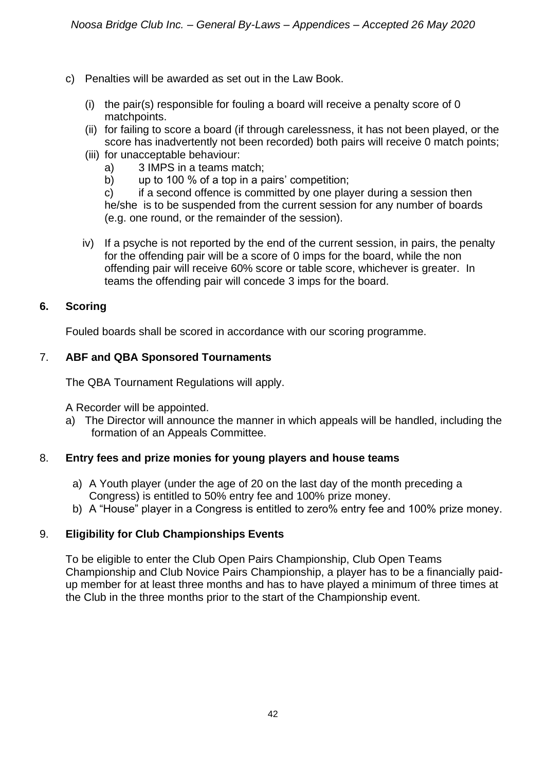- c) Penalties will be awarded as set out in the Law Book.
	- (i) the pair(s) responsible for fouling a board will receive a penalty score of 0 matchpoints.
	- (ii) for failing to score a board (if through carelessness, it has not been played, or the score has inadvertently not been recorded) both pairs will receive 0 match points;
	- (iii) for unacceptable behaviour:
		- a) 3 IMPS in a teams match;
		- b) up to 100 % of a top in a pairs' competition;

c) if a second offence is committed by one player during a session then he/she is to be suspended from the current session for any number of boards (e.g. one round, or the remainder of the session).

iv) If a psyche is not reported by the end of the current session, in pairs, the penalty for the offending pair will be a score of 0 imps for the board, while the non offending pair will receive 60% score or table score, whichever is greater. In teams the offending pair will concede 3 imps for the board.

#### **6. Scoring**

Fouled boards shall be scored in accordance with our scoring programme.

#### 7. **ABF and QBA Sponsored Tournaments**

The QBA Tournament Regulations will apply.

A Recorder will be appointed.

a) The Director will announce the manner in which appeals will be handled, including the formation of an Appeals Committee.

#### 8. **Entry fees and prize monies for young players and house teams**

- a) A Youth player (under the age of 20 on the last day of the month preceding a Congress) is entitled to 50% entry fee and 100% prize money.
- b) A "House" player in a Congress is entitled to zero% entry fee and 100% prize money.

#### 9. **Eligibility for Club Championships Events**

To be eligible to enter the Club Open Pairs Championship, Club Open Teams Championship and Club Novice Pairs Championship, a player has to be a financially paidup member for at least three months and has to have played a minimum of three times at the Club in the three months prior to the start of the Championship event.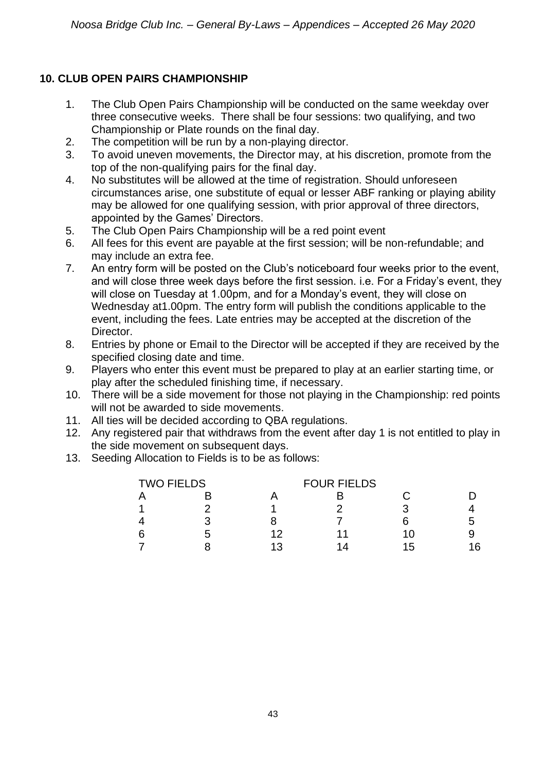### **10. CLUB OPEN PAIRS CHAMPIONSHIP**

- 1. The Club Open Pairs Championship will be conducted on the same weekday over three consecutive weeks. There shall be four sessions: two qualifying, and two Championship or Plate rounds on the final day.
- 2. The competition will be run by a non-playing director.
- 3. To avoid uneven movements, the Director may, at his discretion, promote from the top of the non-qualifying pairs for the final day.
- 4. No substitutes will be allowed at the time of registration. Should unforeseen circumstances arise, one substitute of equal or lesser ABF ranking or playing ability may be allowed for one qualifying session, with prior approval of three directors, appointed by the Games' Directors.
- 5. The Club Open Pairs Championship will be a red point event
- 6. All fees for this event are payable at the first session; will be non-refundable; and may include an extra fee.
- 7. An entry form will be posted on the Club's noticeboard four weeks prior to the event, and will close three week days before the first session. i.e. For a Friday's event, they will close on Tuesday at 1.00pm, and for a Monday's event, they will close on Wednesday at1.00pm. The entry form will publish the conditions applicable to the event, including the fees. Late entries may be accepted at the discretion of the Director.
- 8. Entries by phone or Email to the Director will be accepted if they are received by the specified closing date and time.
- 9. Players who enter this event must be prepared to play at an earlier starting time, or play after the scheduled finishing time, if necessary.
- 10. There will be a side movement for those not playing in the Championship: red points will not be awarded to side movements.
- 11. All ties will be decided according to QBA regulations.
- 12. Any registered pair that withdraws from the event after day 1 is not entitled to play in the side movement on subsequent days.
- 13. Seeding Allocation to Fields is to be as follows:

| <b>TWO FIELDS</b> |   |    | <b>FOUR FIELDS</b> |    |    |
|-------------------|---|----|--------------------|----|----|
|                   |   |    |                    |    |    |
|                   |   |    |                    |    |    |
|                   |   |    |                    |    | :5 |
| 6                 | h | 12 |                    | 10 |    |
|                   |   | 13 | 11                 | 15 | 16 |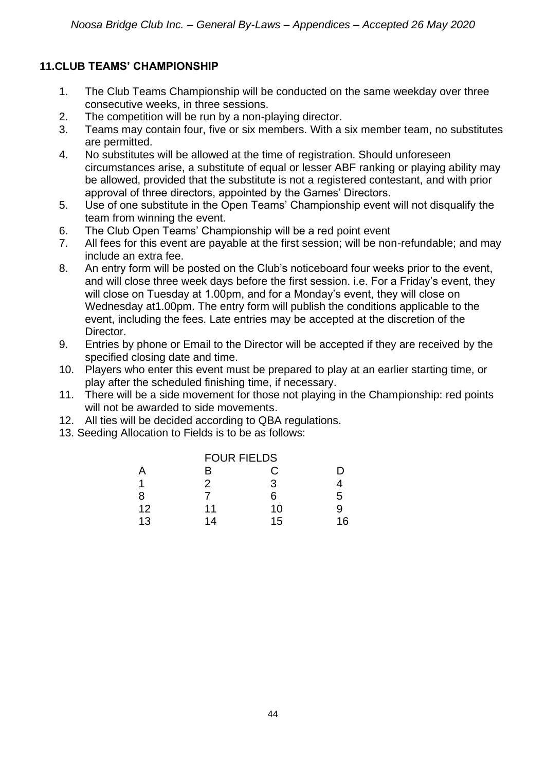### **11.CLUB TEAMS' CHAMPIONSHIP**

- 1. The Club Teams Championship will be conducted on the same weekday over three consecutive weeks, in three sessions.
- 2. The competition will be run by a non-playing director.
- 3. Teams may contain four, five or six members. With a six member team, no substitutes are permitted.
- 4. No substitutes will be allowed at the time of registration. Should unforeseen circumstances arise, a substitute of equal or lesser ABF ranking or playing ability may be allowed, provided that the substitute is not a registered contestant, and with prior approval of three directors, appointed by the Games' Directors.
- 5. Use of one substitute in the Open Teams' Championship event will not disqualify the team from winning the event.
- 6. The Club Open Teams' Championship will be a red point event
- 7. All fees for this event are payable at the first session; will be non-refundable; and may include an extra fee.
- 8. An entry form will be posted on the Club's noticeboard four weeks prior to the event, and will close three week days before the first session. i.e. For a Friday's event, they will close on Tuesday at 1.00pm, and for a Monday's event, they will close on Wednesday at1.00pm. The entry form will publish the conditions applicable to the event, including the fees. Late entries may be accepted at the discretion of the Director.
- 9. Entries by phone or Email to the Director will be accepted if they are received by the specified closing date and time.
- 10. Players who enter this event must be prepared to play at an earlier starting time, or play after the scheduled finishing time, if necessary.
- 11. There will be a side movement for those not playing in the Championship: red points will not be awarded to side movements.
- 12. All ties will be decided according to QBA regulations.
- 13. Seeding Allocation to Fields is to be as follows:

|    | <b>FOUR FIELDS</b> |    |    |
|----|--------------------|----|----|
| Α  | в                  | C  | נו |
| 1  | 2                  | 3  |    |
| 8  |                    | 6  | 5  |
| 12 | 11                 | 10 | 9  |
| 13 | 14                 | 15 | 16 |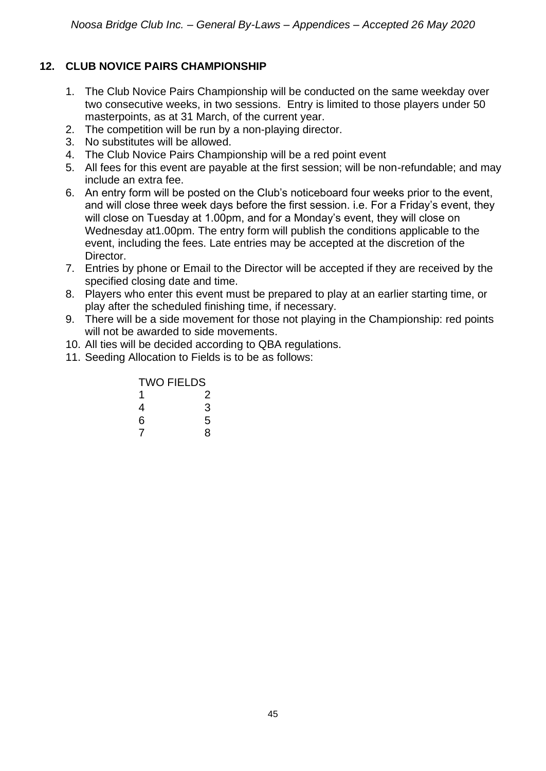### **12. CLUB NOVICE PAIRS CHAMPIONSHIP**

- 1. The Club Novice Pairs Championship will be conducted on the same weekday over two consecutive weeks, in two sessions. Entry is limited to those players under 50 masterpoints, as at 31 March, of the current year.
- 2. The competition will be run by a non-playing director.
- 3. No substitutes will be allowed.
- 4. The Club Novice Pairs Championship will be a red point event
- 5. All fees for this event are payable at the first session; will be non-refundable; and may include an extra fee.
- 6. An entry form will be posted on the Club's noticeboard four weeks prior to the event, and will close three week days before the first session. i.e. For a Friday's event, they will close on Tuesday at 1.00pm, and for a Monday's event, they will close on Wednesday at1.00pm. The entry form will publish the conditions applicable to the event, including the fees. Late entries may be accepted at the discretion of the Director.
- 7. Entries by phone or Email to the Director will be accepted if they are received by the specified closing date and time.
- 8. Players who enter this event must be prepared to play at an earlier starting time, or play after the scheduled finishing time, if necessary.
- 9. There will be a side movement for those not playing in the Championship: red points will not be awarded to side movements.
- 10. All ties will be decided according to QBA regulations.
- 11. Seeding Allocation to Fields is to be as follows:

### TWO FIELDS

| 1 | 2 |
|---|---|
| 4 | 3 |
| 6 | 5 |
| 7 | 8 |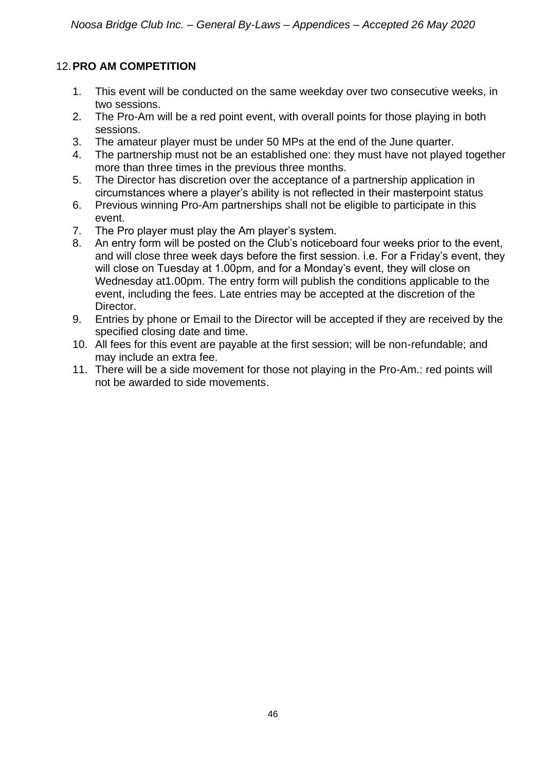### 12.**PRO AM COMPETITION**

- 1. This event will be conducted on the same weekday over two consecutive weeks, in two sessions.
- 2. The Pro-Am will be a red point event, with overall points for those playing in both sessions.
- 3. The amateur player must be under 50 MPs at the end of the June quarter.
- 4. The partnership must not be an established one: they must have not played together more than three times in the previous three months.
- 5. The Director has discretion over the acceptance of a partnership application in circumstances where a player's ability is not reflected in their masterpoint status
- 6. Previous winning Pro-Am partnerships shall not be eligible to participate in this event.
- 7. The Pro player must play the Am player's system.
- 8. An entry form will be posted on the Club's noticeboard four weeks prior to the event, and will close three week days before the first session. i.e. For a Friday's event, they will close on Tuesday at 1.00pm, and for a Monday's event, they will close on Wednesday at1.00pm. The entry form will publish the conditions applicable to the event, including the fees. Late entries may be accepted at the discretion of the Director.
- 9. Entries by phone or Email to the Director will be accepted if they are received by the specified closing date and time.
- 10. All fees for this event are payable at the first session; will be non-refundable; and may include an extra fee.
- 11. There will be a side movement for those not playing in the Pro-Am.: red points will not be awarded to side movements.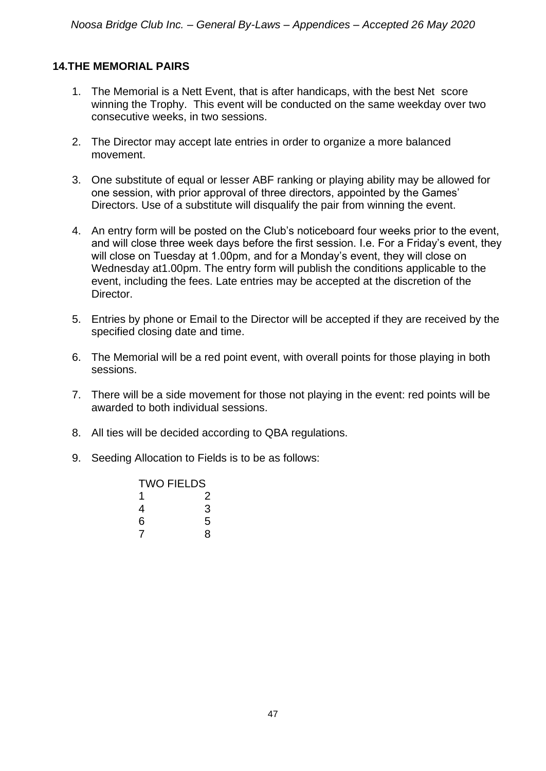#### **14.THE MEMORIAL PAIRS**

- 1. The Memorial is a Nett Event, that is after handicaps, with the best Net score winning the Trophy. This event will be conducted on the same weekday over two consecutive weeks, in two sessions.
- 2. The Director may accept late entries in order to organize a more balanced movement.
- 3. One substitute of equal or lesser ABF ranking or playing ability may be allowed for one session, with prior approval of three directors, appointed by the Games' Directors. Use of a substitute will disqualify the pair from winning the event.
- 4. An entry form will be posted on the Club's noticeboard four weeks prior to the event, and will close three week days before the first session. I.e. For a Friday's event, they will close on Tuesday at 1.00pm, and for a Monday's event, they will close on Wednesday at1.00pm. The entry form will publish the conditions applicable to the event, including the fees. Late entries may be accepted at the discretion of the Director.
- 5. Entries by phone or Email to the Director will be accepted if they are received by the specified closing date and time.
- 6. The Memorial will be a red point event, with overall points for those playing in both sessions.
- 7. There will be a side movement for those not playing in the event: red points will be awarded to both individual sessions.
- 8. All ties will be decided according to QBA regulations.
- 9. Seeding Allocation to Fields is to be as follows:

| <b>TWO FIELDS</b> |   |  |
|-------------------|---|--|
| 1                 | 2 |  |
| 4                 | 3 |  |
| 6                 | 5 |  |
|                   | 8 |  |